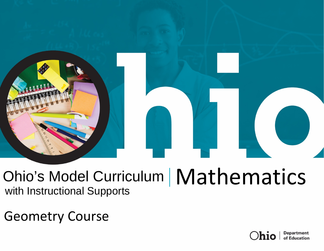

# Ohio's Model Curriculum | Mathematics with Instructional Supports

Geometry Course

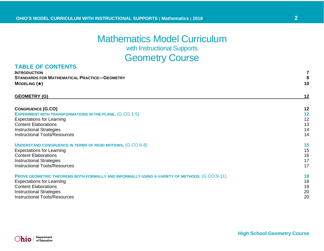# Mathematics Model Curriculum

with Instructional Supports

# **Geometry Course**

### **TABLE OF CONTENTS**

| <b>INTRODUCTION</b>                                 |    |
|-----------------------------------------------------|----|
| <b>STANDARDS FOR MATHEMATICAL PRACTICE-GEOMETRY</b> |    |
| MODELING $(\star)$                                  | 10 |

### **[GEOMETRY](#page-11-0) (G) 12**

| <b>CONGRUENCE (G.CO)</b>                                                                      | 12 |
|-----------------------------------------------------------------------------------------------|----|
| <b>EXPERIMENT WITH TRANSFORMATIONS IN THE PLANE. (G.CO.1-5)</b>                               | 12 |
| <b>Expectations for Learning</b>                                                              | 12 |
| <b>Content Elaborations</b>                                                                   | 13 |
| <b>Instructional Strategies</b>                                                               | 14 |
| <b>Instructional Tools/Resources</b>                                                          | 14 |
| <b>UNDERSTAND CONGRUENCE IN TERMS OF RIGID MOTIONS. (G.CO.6-8)</b>                            | 15 |
| <b>Expectations for Learning</b>                                                              | 15 |
| <b>Content Elaborations</b>                                                                   | 16 |
| <b>Instructional Strategies</b>                                                               | 17 |
| <b>Instructional Tools/Resources</b>                                                          | 17 |
| PROVE GEOMETRIC THEOREMS BOTH FORMALLY AND INFORMALLY USING A VARIETY OF METHODS. (G.CO.9-11) | 18 |
| <b>Expectations for Learning</b>                                                              | 18 |
| <b>Content Elaborations</b>                                                                   | 19 |
| <b>Instructional Strategies</b>                                                               | 20 |
| <b>Instructional Tools/Resources</b>                                                          | 20 |

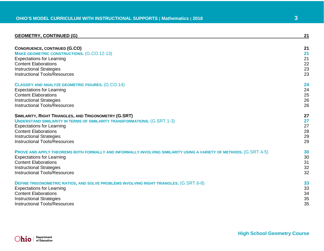| <b>GEOMETRY, CONTINUED (G)</b>                                                                                     | 21 |
|--------------------------------------------------------------------------------------------------------------------|----|
| <b>CONGRUENCE, CONTINUED (G.CO)</b>                                                                                | 21 |
| <b>MAKE GEOMETRIC CONSTRUCTIONS. (G.CO.12-13)</b>                                                                  | 21 |
| <b>Expectations for Learning</b>                                                                                   | 21 |
| <b>Content Elaborations</b>                                                                                        | 22 |
| <b>Instructional Strategies</b>                                                                                    | 23 |
| <b>Instructional Tools/Resources</b>                                                                               | 23 |
| <b>CLASSIFY AND ANALYZE GEOMETRIC FIGURES. (G.CO.14)</b>                                                           | 24 |
| <b>Expectations for Learning</b>                                                                                   | 24 |
| <b>Content Elaborations</b>                                                                                        | 25 |
| <b>Instructional Strategies</b>                                                                                    | 26 |
| <b>Instructional Tools/Resources</b>                                                                               | 26 |
| SIMILARITY, RIGHT TRIANGLES, AND TRIGONOMETRY (G.SRT)                                                              | 27 |
| <b>UNDERSTAND SIMILARITY IN TERMS OF SIMILARITY TRANSFORMATIONS. (G.SRT.1-3)</b>                                   | 27 |
| <b>Expectations for Learning</b>                                                                                   | 27 |
| <b>Content Elaborations</b>                                                                                        | 28 |
| <b>Instructional Strategies</b>                                                                                    | 29 |
| <b>Instructional Tools/Resources</b>                                                                               | 29 |
| PROVE AND APPLY THEOREMS BOTH FORMALLY AND INFORMALLY INVOLVING SIMILARITY USING A VARIETY OF METHODS. (G.SRT.4-5) | 30 |
| <b>Expectations for Learning</b>                                                                                   | 30 |
| <b>Content Elaborations</b>                                                                                        | 31 |
| <b>Instructional Strategies</b>                                                                                    | 32 |
| <b>Instructional Tools/Resources</b>                                                                               | 32 |
| <b>DEFINE TRIGONOMETRIC RATIOS, AND SOLVE PROBLEMS INVOLVING RIGHT TRIANGLES. (G.SRT.6-8)</b>                      | 33 |
| <b>Expectations for Learning</b>                                                                                   | 33 |
| <b>Content Elaborations</b>                                                                                        | 34 |
| <b>Instructional Strategies</b>                                                                                    | 35 |
| <b>Instructional Tools/Resources</b>                                                                               | 35 |

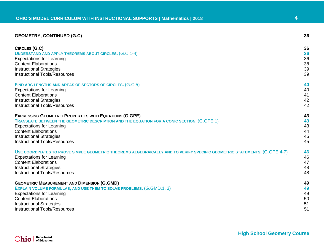### **[GEOMETRY, CONTINUED \(G.C\)](#page-35-0) 36**

| <b>CIRCLES (G.C)</b>                                                                                                      | 36 |
|---------------------------------------------------------------------------------------------------------------------------|----|
| <b>UNDERSTAND AND APPLY THEOREMS ABOUT CIRCLES. (G.C.1-4)</b>                                                             | 36 |
| <b>Expectations for Learning</b>                                                                                          | 36 |
| <b>Content Elaborations</b>                                                                                               | 38 |
| <b>Instructional Strategies</b>                                                                                           | 39 |
| <b>Instructional Tools/Resources</b>                                                                                      | 39 |
| FIND ARC LENGTHS AND AREAS OF SECTORS OF CIRCLES. (G.C.5)                                                                 | 40 |
| <b>Expectations for Learning</b>                                                                                          | 40 |
| <b>Content Elaborations</b>                                                                                               | 41 |
| <b>Instructional Strategies</b>                                                                                           | 42 |
| <b>Instructional Tools/Resources</b>                                                                                      | 42 |
| <b>EXPRESSING GEOMETRIC PROPERTIES WITH EQUATIONS (G.GPE)</b>                                                             | 43 |
| TRANSLATE BETWEEN THE GEOMETRIC DESCRIPTION AND THE EQUATION FOR A CONIC SECTION. (G.GPE.1)                               | 43 |
| <b>Expectations for Learning</b>                                                                                          | 43 |
| <b>Content Elaborations</b>                                                                                               | 44 |
| <b>Instructional Strategies</b>                                                                                           | 45 |
| <b>Instructional Tools/Resources</b>                                                                                      | 45 |
| USE COORDINATES TO PROVE SIMPLE GEOMETRIC THEOREMS ALGEBRAICALLY AND TO VERIFY SPECIFIC GEOMETRIC STATEMENTS. (G.GPE.4-7) | 46 |
| <b>Expectations for Learning</b>                                                                                          | 46 |
| <b>Content Elaborations</b>                                                                                               | 47 |
| <b>Instructional Strategies</b>                                                                                           | 48 |
| <b>Instructional Tools/Resources</b>                                                                                      | 48 |
| <b>GEOMETRIC MEASUREMENT AND DIMENSION (G.GMD)</b>                                                                        | 49 |
| <b>EXPLAIN VOLUME FORMULAS, AND USE THEM TO SOLVE PROBLEMS. (G.GMD.1, 3)</b>                                              | 49 |
| <b>Expectations for Learning</b>                                                                                          | 49 |
| <b>Content Elaborations</b>                                                                                               | 50 |
| <b>Instructional Strategies</b>                                                                                           | 51 |
| <b>Instructional Tools/Resources</b>                                                                                      | 51 |

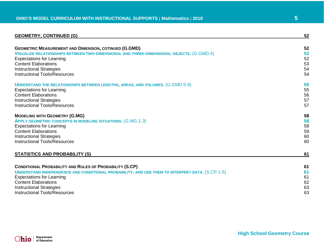| 52 |
|----|
|    |
| 52 |
| 52 |
| 52 |
| 53 |
| 54 |
| 54 |
| 55 |
| 55 |
| 56 |
| 57 |
| 57 |
|    |
| 58 |
| 58 |
| 58 |
| 59 |
| 60 |
| 60 |
| 61 |
|    |
| 61 |
| 61 |
| 61 |
| 62 |
| 63 |
| 63 |
|    |

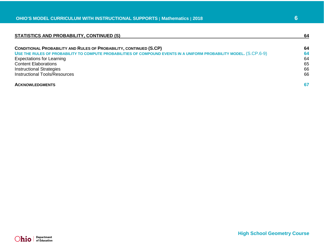| STATISTICS AND PROBABILITY, CONTINUED (S)                                                                           |    |
|---------------------------------------------------------------------------------------------------------------------|----|
| CONDITIONAL PROBABILITY AND RULES OF PROBABILITY, CONTINUED (S.CP)                                                  | 64 |
| USE THE RULES OF PROBABILITY TO COMPUTE PROBABILITIES OF COMPOUND EVENTS IN A UNIFORM PROBABILITY MODEL. (S.CP.6-9) | 64 |
| <b>Expectations for Learning</b>                                                                                    | 64 |
| <b>Content Elaborations</b>                                                                                         | 65 |
| <b>Instructional Strategies</b>                                                                                     | 66 |
| <b>Instructional Tools/Resources</b>                                                                                | 66 |
| <b>ACKNOWLEDGMENTS</b>                                                                                              | 67 |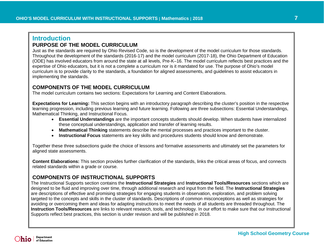# <span id="page-6-0"></span>**Introduction PURPOSE OF THE MODEL CURRICULUM**

Just as the standards are required by Ohio Revised Code, so is the development of the model curriculum for those standards. Throughout the development of the standards (2016-17) and the model curriculum (2017-18), the Ohio Department of Education (ODE) has involved educators from around the state at all levels, Pre-K–16. The model curriculum reflects best practices and the expertise of Ohio educators, but it is not a complete a curriculum nor is it mandated for use. The purpose of Ohio's model curriculum is to provide clarity to the standards, a foundation for aligned assessments, and guidelines to assist educators in implementing the standards.

### **COMPONENTS OF THE MODEL CURRICULUM**

The model curriculum contains two sections: Expectations for Learning and Content Elaborations.

**Expectations for Learning:** This section begins with an introductory paragraph describing the cluster's position in the respective learning progression, including previous learning and future learning. Following are three subsections: Essential Understandings, Mathematical Thinking, and Instructional Focus.

- **Essential Understandings** are the important concepts students should develop. When students have internalized these conceptual understandings, application and transfer of learning results.
- **Mathematical Thinking** statements describe the mental processes and practices important to the cluster.
- **Instructional Focus** statements are key skills and procedures students should know and demonstrate.

Together these three subsections guide the choice of lessons and formative assessments and ultimately set the parameters for aligned state assessments.

**Content Elaborations:** This section provides further clarification of the standards, links the critical areas of focus, and connects related standards within a grade or course.

### **COMPONENTS OF INSTRUCTIONAL SUPPORTS**

The Instructional Supports section contains the **Instructional Strategies** and **Instructional Tools/Resources** sections which are designed to be fluid and improving over time, through additional research and input from the field. The **Instructional Strategies** are descriptions of effective and promising strategies for engaging students in observation, exploration, and problem solving targeted to the concepts and skills in the cluster of standards. Descriptions of common misconceptions as well as strategies for avoiding or overcoming them and ideas for adapting instructions to meet the needs of all students are threaded throughout. The **Instruction Tools/Resources** are links to relevant research, tools, and technology. In our effort to make sure that our Instructional Supports reflect best practices, this section is under revision and will be published in 2018.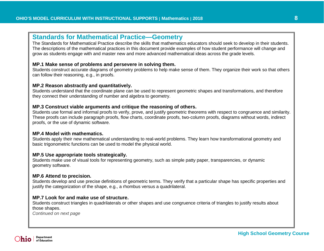### <span id="page-7-0"></span>**Standards for Mathematical Practice—Geometry**

The Standards for Mathematical Practice describe the skills that mathematics educators should seek to develop in their students. The descriptions of the mathematical practices in this document provide examples of how student performance will change and grow as students engage with and master new and more advanced mathematical ideas across the grade levels.

### **MP.1 Make sense of problems and persevere in solving them.**

Students construct accurate diagrams of geometry problems to help make sense of them. They organize their work so that others can follow their reasoning, e.g., in proofs.

### **MP.2 Reason abstractly and quantitatively.**

Students understand that the coordinate plane can be used to represent geometric shapes and transformations, and therefore they connect their understanding of number and algebra to geometry.

### **MP.3 Construct viable arguments and critique the reasoning of others.**

Students use formal and informal proofs to verify, prove, and justify geometric theorems with respect to congruence and similarity. These proofs can include paragraph proofs, flow charts, coordinate proofs, two-column proofs, diagrams without words, indirect proofs, or the use of dynamic software.

### **MP.4 Model with mathematics.**

Students apply their new mathematical understanding to real-world problems. They learn how transformational geometry and basic trigonometric functions can be used to model the physical world.

### **MP.5 Use appropriate tools strategically.**

Students make use of visual tools for representing geometry, such as simple patty paper, transparencies, or dynamic geometry software.

### **MP.6 Attend to precision.**

Students develop and use precise definitions of geometric terms. They verify that a particular shape has specific properties and justify the categorization of the shape, e.g., a rhombus versus a quadrilateral.

### **MP.7 Look for and make use of structure.**

Students construct triangles in quadrilaterals or other shapes and use congruence criteria of triangles to justify results about those shapes.

*Continued on next page*

Department of Education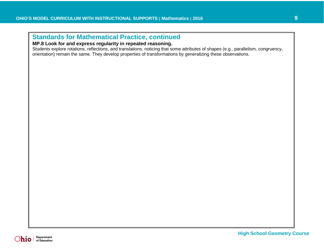# **Standards for Mathematical Practice, continued**

### **MP.8 Look for and express regularity in repeated reasoning.**

Students explore rotations, reflections, and translations, noticing that some attributes of shapes (e.g., parallelism, congruency, orientation) remain the same. They develop properties of transformations by generalizing these observations.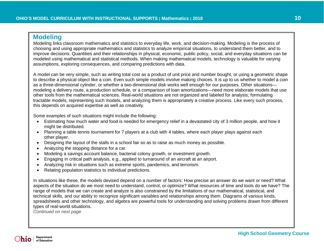### <span id="page-9-0"></span> **Modeling**

Modeling links classroom mathematics and statistics to everyday life, work, and decision-making. Modeling is the process of choosing and using appropriate mathematics and statistics to analyze empirical situations, to understand them better, and to improve decisions. Quantities and their relationships in physical, economic, public policy, social, and everyday situations can be modeled using mathematical and statistical methods. When making mathematical models, technology is valuable for varying assumptions, exploring consequences, and comparing predictions with data.

A model can be very simple, such as writing total cost as a product of unit price and number bought, or using a geometric shape to describe a physical object like a coin. Even such simple models involve making choices. It is up to us whether to model a coin as a three-dimensional cylinder, or whether a two-dimensional disk works well enough for our purposes. Other situations modeling a delivery route, a production schedule, or a comparison of loan amortizations—need more elaborate models that use other tools from the mathematical sciences. Real-world situations are not organized and labeled for analysis; formulating tractable models, representing such models, and analyzing them is appropriately a creative process. Like every such process, this depends on acquired expertise as well as creativity.

Some examples of such situations might include the following:

- Estimating how much water and food is needed for emergency relief in a devastated city of 3 million people, and how it might be distributed.
- Planning a table tennis tournament for 7 players at a club with 4 tables, where each player plays against each other player.
- Designing the layout of the stalls in a school fair so as to raise as much money as possible.
- Analyzing the stopping distance for a car.
- Modeling a savings account balance, bacterial colony growth, or investment growth.
- Engaging in critical path analysis, e.g., applied to turnaround of an aircraft at an airport.
- Analyzing risk in situations such as extreme sports, pandemics, and terrorism.
- Relating population statistics to individual predictions.

In situations like these, the models devised depend on a number of factors: How precise an answer do we want or need? What aspects of the situation do we most need to understand, control, or optimize? What resources of time and tools do we have? The range of models that we can create and analyze is also constrained by the limitations of our mathematical, statistical, and technical skills, and our ability to recognize significant variables and relationships among them. Diagrams of various kinds, spreadsheets and other technology, and algebra are powerful tools for understanding and solving problems drawn from different types of real-world situations.

*Continued on next page*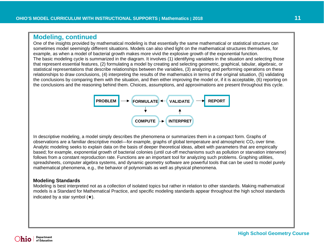## **Modeling, continued**

One of the insights provided by mathematical modeling is that essentially the same mathematical or statistical structure can sometimes model seemingly different situations. Models can also shed light on the mathematical structures themselves, for example, as when a model of bacterial growth makes more vivid the explosive growth of the exponential function. The basic modeling cycle is summarized in the diagram. It involves (1) identifying variables in the situation and selecting those that represent essential features, (2) formulating a model by creating and selecting geometric, graphical, tabular, algebraic, or statistical representations that describe relationships between the variables, (3) analyzing and performing operations on these relationships to draw conclusions, (4) interpreting the results of the mathematics in terms of the original situation, (5) validating the conclusions by comparing them with the situation, and then either improving the model or, if it is acceptable, (6) reporting on the conclusions and the reasoning behind them. Choices, assumptions, and approximations are present throughout this cycle.



In descriptive modeling, a model simply describes the phenomena or summarizes them in a compact form. Graphs of observations are a familiar descriptive model—for example, graphs of global temperature and atmospheric  $CO<sub>2</sub>$  over time. Analytic modeling seeks to explain data on the basis of deeper theoretical ideas, albeit with parameters that are empirically based; for example, exponential growth of bacterial colonies (until cut-off mechanisms such as pollution or starvation intervene) follows from a constant reproduction rate. Functions are an important tool for analyzing such problems. Graphing utilities, spreadsheets, computer algebra systems, and dynamic geometry software are powerful tools that can be used to model purely mathematical phenomena, e.g., the behavior of polynomials as well as physical phenomena.

### **Modeling Standards**

Modeling is best interpreted not as a collection of isolated topics but rather in relation to other standards. Making mathematical models is a Standard for Mathematical Practice, and specific modeling standards appear throughout the high school standards indicated by a star symbol  $(\star)$ .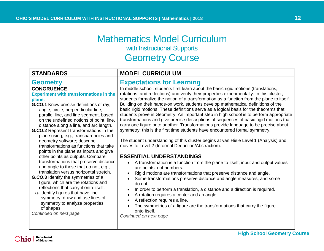# Mathematics Model Curriculum with Instructional Supports Geometry Course

# <span id="page-11-0"></span>**Geometry**

### <span id="page-11-1"></span>**CONGRUENCE**

### <span id="page-11-2"></span>**Experiment with transformations in the plane.**

- **G.CO.1** Know precise definitions of ray, angle, circle, perpendicular line, parallel line, and line segment, based on the undefined notions of point, line, distance along a line, and arc length.
- **G.CO.2** Represent transformations in the plane using, e.g., transparencies and geometry software; describe transformations as functions that take points in the plane as inputs and give other points as outputs. Compare transformations that preserve distance and angle to those that do not, e.g., translation versus horizontal stretch.
- **G.CO.3** Identify the symmetries of a figure, which are the rotations and reflections that carry it onto itself.
- **a.** Identify figures that have line symmetry; draw and use lines of symmetry to analyze properties of shapes.

*Continued on next page*

# **STANDARDS MODEL CURRICULUM**

### <span id="page-11-3"></span>**Expectations for Learning**

In middle school, students first learn about the basic rigid motions (translations, rotations, and reflections) and verify their properties experimentally. In this cluster, students formalize the notion of a transformation as a function from the plane to itself. Building on their hands-on work, students develop mathematical definitions of the basic rigid motions. These definitions serve as a logical basis for the theorems that students prove in Geometry. An important step in high school is to perform appropriate transformations and give precise descriptions of sequences of basic rigid motions that carry one figure onto another. Transformations provide language to be precise about symmetry; this is the first time students have encountered formal symmetry.

The student understanding of this cluster begins at van Hiele Level 1 (Analysis) and moves to Level 2 (Informal Deduction/Abstraction).

### **ESSENTIAL UNDERSTANDINGS**

- A transformation is a function from the plane to itself; input and output values are points, not numbers.
- Rigid motions are transformations that preserve distance and angle.
- Some transformations preserve distance and angle measures, and some do not.
- In order to perform a translation, a distance and a direction is required.
- A rotation requires a center and an angle.
- A reflection requires a line.
- The symmetries of a figure are the transformations that carry the figure onto itself.

*Continued on next page*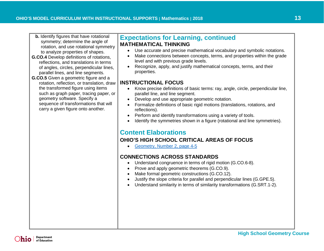- **b.** Identify figures that have rotational symmetry; determine the angle of rotation, and use rotational symmetry to analyze properties of shapes.
- **G.CO.4** Develop definitions of rotations, reflections, and translations in terms of angles, circles, perpendicular lines, parallel lines, and line segments.
- **G.CO.5** Given a geometric figure and a rotation, reflection, or translation, draw the transformed figure using items such as graph paper, tracing paper, or geometry software. Specify a sequence of transformations that will carry a given figure onto another.

# **Expectations for Learning, continued MATHEMATICAL THINKING**

- Use accurate and precise mathematical vocabulary and symbolic notations.
- Make connections between concepts, terms, and properties within the grade level and with previous grade levels.
- Recognize, apply, and justify mathematical concepts, terms, and their properties.

### **INSTRUCTIONAL FOCUS**

- Know precise definitions of basic terms: ray, angle, circle, perpendicular line, parallel line, and line segment.
- Develop and use appropriate geometric notation.
- Formalize definitions of basic rigid motions (translations, rotations, and reflections).
- Perform and identify transformations using a variety of tools.
- Identify the symmetries shown in a figure (rotational and line symmetries).

# <span id="page-12-0"></span>**Content Elaborations**

### **OHIO'S HIGH SCHOOL CRITICAL AREAS OF FOCUS**

• [Geometry, Number 2, page 4-5](http://education.ohio.gov/getattachment/Topics/Learning-in-Ohio/Mathematics/Ohio-s-Learning-Standards-in-Mathematics/Transitioning-to-the-2017-Learning-Standards-in-Ma/GEOMETRY-CAF.pdf.aspx#page=4)

### **CONNECTIONS ACROSS STANDARDS**

- Understand congruence in terms of rigid motion (G.CO.6-8).
- Prove and apply geometric theorems (G.CO.9).
- Make formal geometric constructions (G.CO.12).
- Justify the slope criteria for parallel and perpendicular lines (G.GPE.5).
- Understand similarity in terms of similarity transformations (G.SRT.1-2).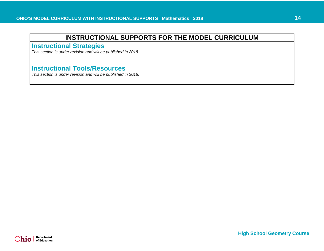<span id="page-13-0"></span>**Instructional Strategies**

*This section is under revision and will be published in 2018.* 

# <span id="page-13-1"></span>**Instructional Tools/Resources**

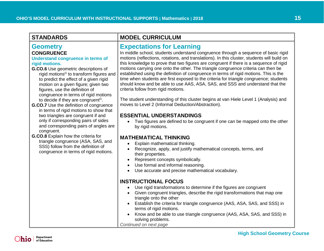### **Geometry CONGRUENCE**

### <span id="page-14-0"></span>**Understand congruence in terms of rigid motions.**

- **G.CO.6** Use geometric descriptions of rigid motions<sup>G</sup> to transform figures and to predict the effect of a given rigid motion on a given figure; given two figures, use the definition of congruence in terms of rigid motions to decide if they are congruent<sup>G</sup>.
- **G.CO.7** Use the definition of congruence in terms of rigid motions to show that two triangles are congruent if and only if corresponding pairs of sides and corresponding pairs of angles are congruent.
- **G.CO.8** Explain how the criteria for triangle congruence (ASA, SAS, and SSS) follow from the definition of congruence in terms of rigid motions.

# **STANDARDS MODEL CURRICULUM**

# <span id="page-14-1"></span>**Expectations for Learning**

In middle school, students understand congruence through a sequence of basic rigid motions (reflections, rotations, and translations). In this cluster, students will build on this knowledge to prove that two figures are congruent if there is a sequence of rigid motions carrying one onto the other. The triangle congruence criteria can then be established using the definition of congruence in terms of rigid motions. This is the time when students are first exposed to the criteria for triangle congruence; students should know and be able to use AAS, ASA, SAS, and SSS and understand that the criteria follow from rigid motions.

The student understanding of this cluster begins at van Hiele Level 1 (Analysis) and moves to Level 2 (Informal Deduction/Abstraction).

### **ESSENTIAL UNDERSTANDINGS**

• Two figures are defined to be congruent if one can be mapped onto the other by rigid motions.

### **MATHEMATICAL THINKING**

- Explain mathematical thinking.
- Recognize, apply, and justify mathematical concepts, terms, and their properties.
- Represent concepts symbolically.
- Use formal and informal reasoning.
- Use accurate and precise mathematical vocabulary.

### **INSTRUCTIONAL FOCUS**

- Use rigid transformations to determine if the figures are congruent
- Given congruent triangles, describe the rigid transformations that map one triangle onto the other
- Establish the criteria for triangle congruence (AAS, ASA, SAS, and SSS) in terms of rigid motions.
- Know and be able to use triangle congruence (AAS, ASA, SAS, and SSS) in solving problems.
- *Continued on next page*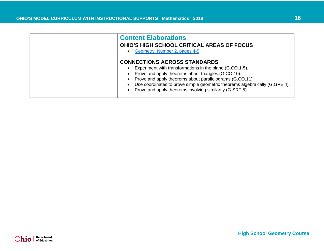<span id="page-15-0"></span>

| <b>Content Elaborations</b><br><b>OHIO'S HIGH SCHOOL CRITICAL AREAS OF FOCUS</b><br>Geometry, Number 2, pages 4-5                                                                                                                                                                                                                                             |
|---------------------------------------------------------------------------------------------------------------------------------------------------------------------------------------------------------------------------------------------------------------------------------------------------------------------------------------------------------------|
| <b>CONNECTIONS ACROSS STANDARDS</b><br>Experiment with transformations in the plane (G.CO.1-5).<br>Prove and apply theorems about triangles (G.CO.10).<br>Prove and apply theorems about parallelograms (G.CO.11).<br>Use coordinates to prove simple geometric theorems algebraically (G.GPE.4).<br>Prove and apply theorems involving similarity (G.SRT.5). |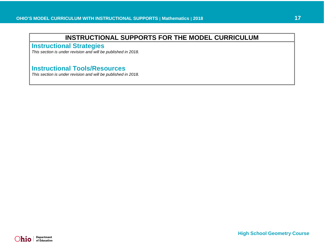<span id="page-16-0"></span>**Instructional Strategies**

*This section is under revision and will be published in 2018.* 

# <span id="page-16-1"></span>**Instructional Tools/Resources**

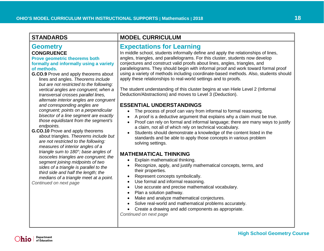<span id="page-17-0"></span>

| <b>Geometry</b><br><b>CONGRUENCE</b><br><b>Prove geometric theorems both</b><br>formally and informally using a variety<br>of methods.<br>G.CO.9 Prove and apply theorems about<br>lines and angles. Theorems include<br>but are not restricted to the following:                                | <b>Expecta</b><br>In middle so<br>angles, triar<br>conjectures<br>parallelogra<br>using a vari<br>apply these |
|--------------------------------------------------------------------------------------------------------------------------------------------------------------------------------------------------------------------------------------------------------------------------------------------------|---------------------------------------------------------------------------------------------------------------|
| vertical angles are congruent; when a<br>transversal crosses parallel lines,<br>alternate interior angles are congruent                                                                                                                                                                          | The student<br>Deduction/A                                                                                    |
| and corresponding angles are<br>congruent; points on a perpendicular<br>bisector of a line segment are exactly<br>those equidistant from the segment's<br>endpoints.<br><b>G.CO.10</b> Prove and apply theorems<br>about triangles. Theorems include but<br>are not restricted to the following: | <b>ESSENTI</b><br><b>The</b><br>A pr<br>Prod<br>a cla<br><b>Stuc</b><br>stan                                  |
| measures of interior angles of a<br>triangle sum to 180°; base angles of<br>isosceles triangles are congruent; the<br>amaantiainina midnainta af tura                                                                                                                                            | solv<br><b>MATHEM</b><br>Expl                                                                                 |

*segment joining midpoints of two sides of a triangle is parallel to the third side and half the length; the medians of a triangle meet at a point.*

*Continued on next page*

# **STANDARDS MODEL CURRICULUM**

### <span id="page-17-1"></span>**Expectations for Learning**

chool, students informally define and apply the relationships of lines, ngles, and parallelograms. For this cluster, students now develop and construct valid proofs about lines, angles, triangles, and ams. They should begin with informal proof and work toward formal proof iety of methods including coordinate-based methods. Also, students should relationships to real-world settings and to proofs.

It understanding of this cluster begins at van Hiele Level 2 (Informal Abstractions) and moves to Level 3 (Deduction).

### **AL UNDERSTANDINGS**

- process of proof can vary from informal to formal reasoning.
- roof is a deductive argument that explains why a claim must be true.
- of can rely on formal and informal language; there are many ways to justify aim, not all of which rely on technical vocabulary.
- dents should demonstrate a knowledge of the content listed in the dards and be able to apply those concepts in various problem ing settings.

### **MATICAL THINKING**

- lain mathematical thinking.
- Recognize, apply, and justify mathematical concepts, terms, and their properties.
- Represent concepts symbolically.
- Use formal and informal reasoning.
- Use accurate and precise mathematical vocabulary.
- Plan a solution pathway.
- Make and analyze mathematical conjectures.
- Solve real-world and mathematical problems accurately.
- Create a drawing and add components as appropriate.

*Continued on next page*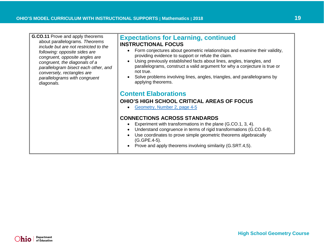<span id="page-18-0"></span>

| <b>G.CO.11</b> Prove and apply theorems | <b>Expectations for Learning, continued</b>                                                                                                                                                                                                                                                                                                                                                                                                      |
|-----------------------------------------|--------------------------------------------------------------------------------------------------------------------------------------------------------------------------------------------------------------------------------------------------------------------------------------------------------------------------------------------------------------------------------------------------------------------------------------------------|
| about parallelograms. Theorems          | <b>INSTRUCTIONAL FOCUS</b>                                                                                                                                                                                                                                                                                                                                                                                                                       |
| include but are not restricted to the   | Form conjectures about geometric relationships and examine their validity,                                                                                                                                                                                                                                                                                                                                                                       |
| following: opposite sides are           | providing evidence to support or refute the claim.                                                                                                                                                                                                                                                                                                                                                                                               |
| congruent, opposite angles are          | Using previously established facts about lines, angles, triangles, and                                                                                                                                                                                                                                                                                                                                                                           |
| congruent, the diagonals of a           | $\bullet$                                                                                                                                                                                                                                                                                                                                                                                                                                        |
| parallelogram bisect each other, and    | parallelograms, construct a valid argument for why a conjecture is true or                                                                                                                                                                                                                                                                                                                                                                       |
| conversely, rectangles are              | not true.                                                                                                                                                                                                                                                                                                                                                                                                                                        |
| parallelograms with congruent           | Solve problems involving lines, angles, triangles, and parallelograms by                                                                                                                                                                                                                                                                                                                                                                         |
| diagonals.                              | applying theorems.                                                                                                                                                                                                                                                                                                                                                                                                                               |
|                                         | <b>Content Elaborations</b><br><b>OHIO'S HIGH SCHOOL CRITICAL AREAS OF FOCUS</b><br>Geometry, Number 2, page 4-5<br><b>CONNECTIONS ACROSS STANDARDS</b><br>Experiment with transformations in the plane (G.CO.1, 3, 4).<br>Understand congruence in terms of rigid transformations (G.CO.6-8).<br>Use coordinates to prove simple geometric theorems algebraically<br>(G.GPE.4-5).<br>Prove and apply theorems involving similarity (G.SRT.4,5). |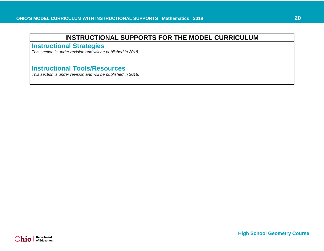<span id="page-19-0"></span>**Instructional Strategies**

*This section is under revision and will be published in 2018.* 

# <span id="page-19-1"></span>**Instructional Tools/Resources**

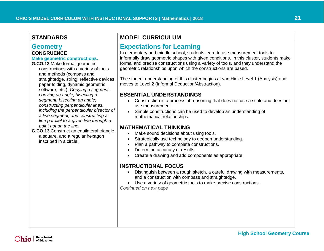### <span id="page-20-1"></span><span id="page-20-0"></span>**Geometry CONGRUENCE**

### <span id="page-20-2"></span>**Make geometric constructions.**

- **G.CO.12** Make formal geometric constructions with a variety of tools and methods (compass and straightedge, string, reflective devices, paper folding, dynamic geometric software, etc.). *Copying a segment; copying an angle; bisecting a segment; bisecting an angle; constructing perpendicular lines, including the perpendicular bisector of a line segment; and constructing a line parallel to a given line through a point not on the line.*
- **G.CO.13** Construct an equilateral triangle, a square, and a regular hexagon inscribed in a circle.

# **STANDARDS MODEL CURRICULUM**

# <span id="page-20-3"></span>**Expectations for Learning**

In elementary and middle school, students learn to use measurement tools to informally draw geometric shapes with given conditions. In this cluster, students make formal and precise constructions using a variety of tools, and they understand the geometric relationships upon which the constructions are based.

The student understanding of this cluster begins at van Hiele Level 1 (Analysis) and moves to Level 2 (Informal Deduction/Abstraction).

### **ESSENTIAL UNDERSTANDINGS**

- Construction is a process of reasoning that does not use a scale and does not use measurement.
- Simple constructions can be used to develop an understanding of mathematical relationships.

### **MATHEMATICAL THINKING**

- Make sound decisions about using tools.
- Strategically use technology to deepen understanding.
- Plan a pathway to complete constructions.
- Determine accuracy of results.
- Create a drawing and add components as appropriate.

### **INSTRUCTIONAL FOCUS**

- Distinguish between a rough sketch, a careful drawing with measurements, and a construction with compass and straightedge.
- Use a variety of geometric tools to make precise constructions.
- *Continued on next page*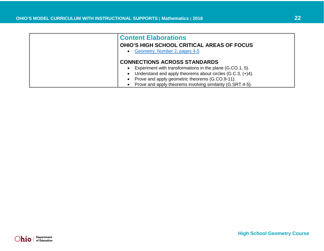<span id="page-21-0"></span>

| <b>Content Elaborations</b><br><b>OHIO'S HIGH SCHOOL CRITICAL AREAS OF FOCUS</b><br>Geometry, Number 2, pages 4-5                                                                                                                                                               |
|---------------------------------------------------------------------------------------------------------------------------------------------------------------------------------------------------------------------------------------------------------------------------------|
| <b>CONNECTIONS ACROSS STANDARDS</b><br>Experiment with transformations in the plane (G.CO.1, 5).<br>Understand and apply theorems about circles (G.C.3, (+)4).<br>Prove and apply geometric theorems (G.CO.9-11).<br>Prove and apply theorems involving similarity (G.SRT.4-5). |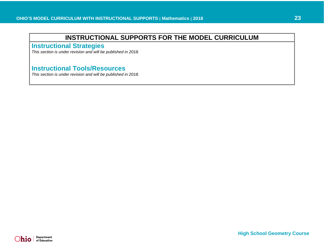<span id="page-22-0"></span>**Instructional Strategies**

*This section is under revision and will be published in 2018.* 

# <span id="page-22-1"></span>**Instructional Tools/Resources**

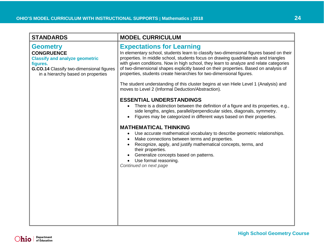<span id="page-23-1"></span><span id="page-23-0"></span>

| <b>STANDARDS</b>                                                                                                                                                            | <b>MODEL CURRICULUM</b>                                                                                                                                                                                                                                                                                                                                                                                                                                                       |
|-----------------------------------------------------------------------------------------------------------------------------------------------------------------------------|-------------------------------------------------------------------------------------------------------------------------------------------------------------------------------------------------------------------------------------------------------------------------------------------------------------------------------------------------------------------------------------------------------------------------------------------------------------------------------|
| <b>Geometry</b><br><b>CONGRUENCE</b><br><b>Classify and analyze geometric</b><br>figures.<br>G.CO.14 Classify two-dimensional figures<br>in a hierarchy based on properties | <b>Expectations for Learning</b><br>In elementary school, students learn to classify two-dimensional figures based on their<br>properties. In middle school, students focus on drawing quadrilaterals and triangles<br>with given conditions. Now in high school, they learn to analyze and relate categories<br>of two-dimensional shapes explicitly based on their properties. Based on analysis of<br>properties, students create hierarchies for two-dimensional figures. |
|                                                                                                                                                                             | The student understanding of this cluster begins at van Hiele Level 1 (Analysis) and<br>moves to Level 2 (Informal Deduction/Abstraction).                                                                                                                                                                                                                                                                                                                                    |
|                                                                                                                                                                             | <b>ESSENTIAL UNDERSTANDINGS</b><br>There is a distinction between the definition of a figure and its properties, e.g.,<br>$\bullet$<br>side lengths, angles, parallel/perpendicular sides, diagonals, symmetry.<br>Figures may be categorized in different ways based on their properties.                                                                                                                                                                                    |
|                                                                                                                                                                             | <b>MATHEMATICAL THINKING</b><br>Use accurate mathematical vocabulary to describe geometric relationships.<br>Make connections between terms and properties.<br>$\bullet$<br>Recognize, apply, and justify mathematical concepts, terms, and<br>their properties.<br>Generalize concepts based on patterns.<br>Use formal reasoning.<br>Continued on next page                                                                                                                 |
|                                                                                                                                                                             |                                                                                                                                                                                                                                                                                                                                                                                                                                                                               |
|                                                                                                                                                                             |                                                                                                                                                                                                                                                                                                                                                                                                                                                                               |
|                                                                                                                                                                             |                                                                                                                                                                                                                                                                                                                                                                                                                                                                               |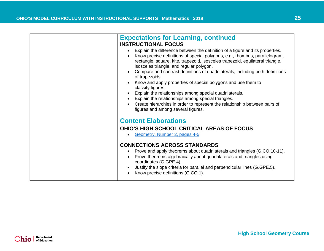<span id="page-24-0"></span>

|                                                                                                                                                                                                                                                                 | <b>Expectations for Learning, continued</b><br><b>INSTRUCTIONAL FOCUS</b><br>Explain the difference between the definition of a figure and its properties.<br>$\bullet$<br>Know precise definitions of special polygons, e.g., rhombus, parallelogram,<br>$\bullet$<br>rectangle, square, kite, trapezoid, isosceles trapezoid, equilateral triangle,<br>isosceles triangle, and regular polygon.<br>Compare and contrast definitions of quadrilaterals, including both definitions<br>$\bullet$<br>of trapezoids.<br>Know and apply properties of special polygons and use them to<br>$\bullet$<br>classify figures.<br>Explain the relationships among special quadrilaterals.<br>$\bullet$<br>Explain the relationships among special triangles.<br>$\bullet$<br>Create hierarchies in order to represent the relationship between pairs of<br>figures and among several figures. |
|-----------------------------------------------------------------------------------------------------------------------------------------------------------------------------------------------------------------------------------------------------------------|--------------------------------------------------------------------------------------------------------------------------------------------------------------------------------------------------------------------------------------------------------------------------------------------------------------------------------------------------------------------------------------------------------------------------------------------------------------------------------------------------------------------------------------------------------------------------------------------------------------------------------------------------------------------------------------------------------------------------------------------------------------------------------------------------------------------------------------------------------------------------------------|
| <b>Content Elaborations</b><br><b>OHIO'S HIGH SCHOOL CRITICAL AREAS OF FOCUS</b><br>Geometry, Number 2, pages 4-5<br>$\bullet$<br><b>CONNECTIONS ACROSS STANDARDS</b><br>Prove and apply theorems about quadrilaterals and triangles (G.CO.10-11).<br>$\bullet$ |                                                                                                                                                                                                                                                                                                                                                                                                                                                                                                                                                                                                                                                                                                                                                                                                                                                                                      |
|                                                                                                                                                                                                                                                                 | Prove theorems algebraically about quadrilaterals and triangles using<br>coordinates (G.GPE.4).<br>Justify the slope criteria for parallel and perpendicular lines (G.GPE.5).<br>$\bullet$<br>Know precise definitions (G.CO.1).                                                                                                                                                                                                                                                                                                                                                                                                                                                                                                                                                                                                                                                     |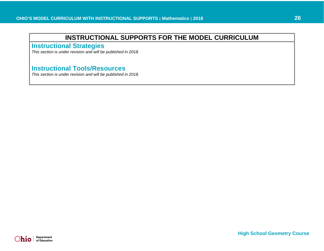<span id="page-25-0"></span>**Instructional Strategies**

*This section is under revision and will be published in 2018.* 

# <span id="page-25-1"></span>**Instructional Tools/Resources**

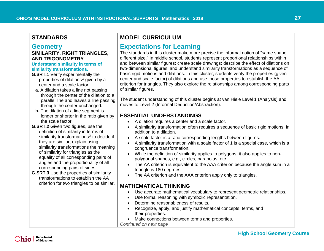### <span id="page-26-0"></span>**Geometry SIMILARITY, RIGHT TRIANGLES, AND TRIGONOMETRY**

### <span id="page-26-1"></span>**Understand similarity in terms of similarity transformations.**

- **G.SRT.1** Verify experimentally the properties of dilations<sup>G</sup> given by a center and a scale factor:
- **a.** A dilation takes a line not passing through the center of the dilation to a parallel line and leaves a line passing through the center unchanged.
- **b.** The dilation of a line segment is longer or shorter in the ratio given by the scale factor.
- **G.SRT.2** Given two figures, use the definition of similarity in terms of similarity transformations<sup>G</sup> to decide if they are similar; explain using similarity transformations the meaning of similarity for triangles as the equality of all corresponding pairs of angles and the proportionality of all corresponding pairs of sides.
- **G.SRT.3** Use the properties of similarity transformations to establish the AA criterion for two triangles to be similar.

# **STANDARDS MODEL CURRICULUM**

# <span id="page-26-2"></span>**Expectations for Learning**

The standards in this cluster make more precise the informal notion of "same shape, different size." In middle school, students represent proportional relationships within and between similar figures; create scale drawings; describe the effect of dilations on two-dimensional figures; and understand similarity transformations as a sequence of basic rigid motions and dilations. In this cluster, students verify the properties (given center and scale factor) of dilations and use those properties to establish the AA criterion for triangles. They also explore the relationships among corresponding parts of similar figures.

The student understanding of this cluster begins at van Hiele Level 1 (Analysis) and moves to Level 2 (Informal Deduction/Abstraction).

### **ESSENTIAL UNDERSTANDINGS**

- A dilation requires a center and a scale factor.
- A similarity transformation often requires a sequence of basic rigid motions, in addition to a dilation.
- A scale factor is a ratio corresponding lengths between figures.
- A similarity transformation with a scale factor of 1 is a special case, which is a congruence transformation.
- While the definition of similarity applies to polygons, it also applies to nonpolygonal shapes, e.g., circles, parabolas, etc.
- The AA criterion is equivalent to the AAA criterion because the angle sum in a triangle is 180 degrees.
- The AA criterion and the AAA criterion apply only to triangles.

### **MATHEMATICAL THINKING**

- Use accurate mathematical vocabulary to represent geometric relationships.
- Use formal reasoning with symbolic representation.
- Determine reasonableness of results.
- Recognize, apply, and justify mathematical concepts, terms, and their properties.
- Make connections between terms and properties.
- *Continued on next page*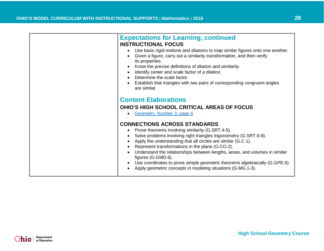<span id="page-27-0"></span>

| <b>Expectations for Learning, continued</b>                                                                                                                                 |
|-----------------------------------------------------------------------------------------------------------------------------------------------------------------------------|
| <b>INSTRUCTIONAL FOCUS</b>                                                                                                                                                  |
| Use basic rigid motions and dilations to map similar figures onto one another.<br>Given a figure, carry out a similarity transformation, and then verify<br>its properties. |
| Know the precise definitions of dilation and similarity.                                                                                                                    |
| Identify center and scale factor of a dilation.                                                                                                                             |
| Determine the scale factor.                                                                                                                                                 |
| Establish that triangles with two pairs of corresponding congruent angles<br>are similar.                                                                                   |
|                                                                                                                                                                             |
| <b>Content Elaborations</b>                                                                                                                                                 |
| <b>OHIO'S HIGH SCHOOL CRITICAL AREAS OF FOCUS</b>                                                                                                                           |
| Geometry, Number 3, page 6                                                                                                                                                  |
| <b>CONNECTIONS ACROSS STANDARDS</b>                                                                                                                                         |
| Prove theorems involving similarity (G.SRT.4-5).                                                                                                                            |
| Solve problems involving right triangles trigonometry (G.SRT.6-8).                                                                                                          |
| Apply the understanding that all circles are similar (G.C.1).                                                                                                               |
| Represent transformations in the plane (G.CO.2).                                                                                                                            |
| Understand the relationships between lengths, areas, and volumes in similar<br>figures (G.GMD.6).                                                                           |
| Use coordinates to prove simple geometric theorems algebraically (G.GPE.6).<br>Apply geometric concepts in modeling situations (G.MG.1-3).                                  |
|                                                                                                                                                                             |

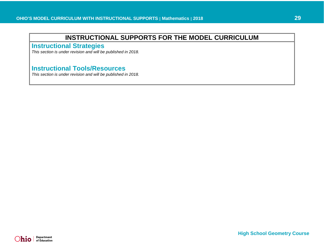<span id="page-28-0"></span>**Instructional Strategies**

*This section is under revision and will be published in 2018.* 

# <span id="page-28-1"></span>**Instructional Tools/Resources**

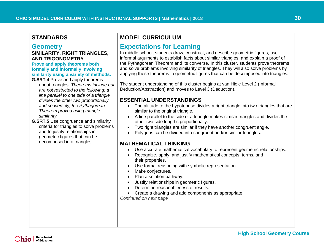### **Geometry SIMILARITY, RIGHT TRIANGLES, AND TRIGONOMETRY**

### <span id="page-29-0"></span>**Prove and apply theorems both formally and informally involving similarity using a variety of methods.**

- **G.SRT.4** Prove and apply theorems about triangles. *Theorems include but are not restricted to the following: a line parallel to one side of a triangle divides the other two proportionally, and conversely; the Pythagorean Theorem proved using triangle similarity.*
- **G.SRT.5** Use congruence and similarity criteria for triangles to solve problems and to justify relationships in geometric figures that can be decomposed into triangles.

# **STANDARDS MODEL CURRICULUM**

# <span id="page-29-1"></span>**Expectations for Learning**

In middle school, students draw, construct, and describe geometric figures; use informal arguments to establish facts about similar triangles; and explain a proof of the Pythagorean Theorem and its converse. In this cluster, students prove theorems and solve problems involving similarity of triangles. They will also solve problems by applying these theorems to geometric figures that can be decomposed into triangles.

The student understanding of this cluster begins at van Hiele Level 2 (Informal Deduction/Abstraction) and moves to Level 3 (Deduction).

### **ESSENTIAL UNDERSTANDINGS**

- The altitude to the hypotenuse divides a right triangle into two triangles that are similar to the original triangle.
- A line parallel to the side of a triangle makes similar triangles and divides the other two side lengths proportionally.
- Two right triangles are similar if they have another congruent angle.
- Polygons can be divided into congruent and/or similar triangles.

### **MATHEMATICAL THINKING**

- Use accurate mathematical vocabulary to represent geometric relationships.
- Recognize, apply, and justify mathematical concepts, terms, and their properties.
- Use formal reasoning with symbolic representation.
- Make conjectures.
- Plan a solution pathway.
- Justify relationships in geometric figures.
- Determine reasonableness of results.
- Create a drawing and add components as appropriate. *Continued on next page*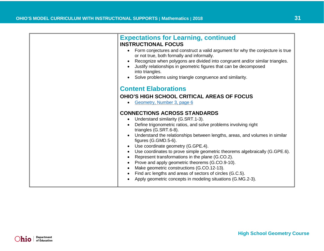<span id="page-30-0"></span>

| <b>Expectations for Learning, continued</b><br><b>INSTRUCTIONAL FOCUS</b><br>Form conjectures and construct a valid argument for why the conjecture is true<br>or not true, both formally and informally.<br>Recognize when polygons are divided into congruent and/or similar triangles.<br>Justify relationships in geometric figures that can be decomposed<br>into triangles.<br>Solve problems using triangle congruence and similarity. |
|-----------------------------------------------------------------------------------------------------------------------------------------------------------------------------------------------------------------------------------------------------------------------------------------------------------------------------------------------------------------------------------------------------------------------------------------------|
| <b>Content Elaborations</b>                                                                                                                                                                                                                                                                                                                                                                                                                   |
| <b>OHIO'S HIGH SCHOOL CRITICAL AREAS OF FOCUS</b>                                                                                                                                                                                                                                                                                                                                                                                             |
| Geometry, Number 3, page 6                                                                                                                                                                                                                                                                                                                                                                                                                    |
| <b>CONNECTIONS ACROSS STANDARDS</b>                                                                                                                                                                                                                                                                                                                                                                                                           |
| • Understand similarity (G.SRT.1-3).<br>Define trigonometric ratios, and solve problems involving right                                                                                                                                                                                                                                                                                                                                       |
| triangles (G.SRT.6-8).                                                                                                                                                                                                                                                                                                                                                                                                                        |
| Understand the relationships between lengths, areas, and volumes in similar<br>figures (G.GMD.5-6).                                                                                                                                                                                                                                                                                                                                           |
| Use coordinate geometry (G.GPE.4).                                                                                                                                                                                                                                                                                                                                                                                                            |
| Use coordinates to prove simple geometric theorems algebraically (G.GPE.6).                                                                                                                                                                                                                                                                                                                                                                   |
| Represent transformations in the plane (G.CO.2).<br>Prove and apply geometric theorems (G.CO.9-10).                                                                                                                                                                                                                                                                                                                                           |
| Make geometric constructions (G.CO.12-13).                                                                                                                                                                                                                                                                                                                                                                                                    |
| Find arc lengths and areas of sectors of circles (G.C.5).                                                                                                                                                                                                                                                                                                                                                                                     |
| Apply geometric concepts in modeling situations (G.MG.2-3).                                                                                                                                                                                                                                                                                                                                                                                   |

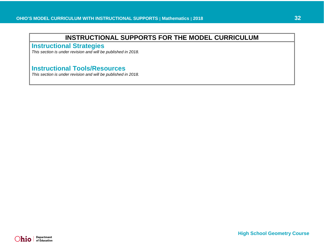<span id="page-31-0"></span>**Instructional Strategies**

*This section is under revision and will be published in 2018.* 

# <span id="page-31-1"></span>**Instructional Tools/Resources**

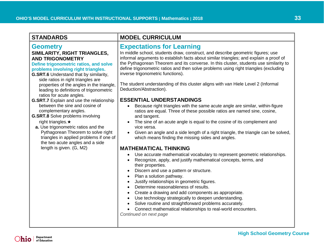### **Geometry SIMILARITY, RIGHT TRIANGLES,**

### **AND TRIGONOMETRY**

<span id="page-32-0"></span>**Define trigonometric ratios, and solve problems involving right triangles.**

- **G.SRT.6** Understand that by similarity, side ratios in right triangles are properties of the angles in the triangle, leading to definitions of trigonometric ratios for acute angles.
- **G.SRT.7** Explain and use the relationship between the sine and cosine of complementary angles.
- **G.SRT.8** Solve problems involving right triangles.★
	- **a.** Use trigonometric ratios and the Pythagorean Theorem to solve right triangles in applied problems if one of the two acute angles and a side length is given. (G, M2)

# **STANDARDS MODEL CURRICULUM**

### <span id="page-32-1"></span>**Expectations for Learning**

In middle school, students draw, construct, and describe geometric figures; use informal arguments to establish facts about similar triangles; and explain a proof of the Pythagorean Theorem and its converse. In this cluster, students use similarity to define trigonometric ratios and then solve problems using right triangles (excluding inverse trigonometric functions).

The student understanding of this cluster aligns with van Hiele Level 2 (Informal Deduction/Abstraction).

### **ESSENTIAL UNDERSTANDINGS**

- Because right triangles with the same acute angle are similar, within-figure ratios are equal. Three of these possible ratios are named sine, cosine, and tangent.
- The sine of an acute angle is equal to the cosine of its complement and vice versa.
- Given an angle and a side length of a right triangle, the triangle can be solved, which means finding the missing sides and angles.

### **MATHEMATICAL THINKING**

- Use accurate mathematical vocabulary to represent geometric relationships.
- Recognize, apply, and justify mathematical concepts, terms, and their properties.
- Discern and use a pattern or structure.
- Plan a solution pathway.
- Justify relationships in geometric figures.
- Determine reasonableness of results.
- Create a drawing and add components as appropriate.
- Use technology strategically to deepen understanding.
- Solve routine and straightforward problems accurately.
- Connect mathematical relationships to real-world encounters.

*Continued on next page*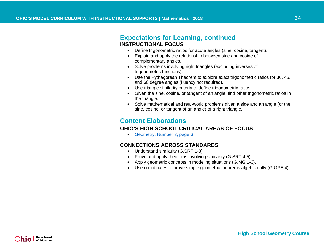<span id="page-33-0"></span>

| <b>Expectations for Learning, continued</b>                                                                                                |
|--------------------------------------------------------------------------------------------------------------------------------------------|
| <b>INSTRUCTIONAL FOCUS</b>                                                                                                                 |
| Define trigonometric ratios for acute angles (sine, cosine, tangent).                                                                      |
| Explain and apply the relationship between sine and cosine of                                                                              |
| complementary angles.                                                                                                                      |
| Solve problems involving right triangles (excluding inverses of                                                                            |
| trigonometric functions).                                                                                                                  |
| Use the Pythagorean Theorem to explore exact trigonometric ratios for 30, 45,<br>and 60 degree angles (fluency not required).              |
| Use triangle similarity criteria to define trigonometric ratios.                                                                           |
| Given the sine, cosine, or tangent of an angle, find other trigonometric ratios in<br>the triangle.                                        |
| Solve mathematical and real-world problems given a side and an angle (or the<br>sine, cosine, or tangent of an angle) of a right triangle. |
| <b>Content Elaborations</b>                                                                                                                |
| <b>OHIO'S HIGH SCHOOL CRITICAL AREAS OF FOCUS</b>                                                                                          |
| Geometry, Number 3, page 6                                                                                                                 |
|                                                                                                                                            |
| <b>CONNECTIONS ACROSS STANDARDS</b>                                                                                                        |
| Understand similarity (G.SRT.1-3).                                                                                                         |
| Prove and apply theorems involving similarity (G.SRT.4-5).                                                                                 |
| Apply geometric concepts in modeling situations (G.MG.1-3).                                                                                |
| Use coordinates to prove simple geometric theorems algebraically (G.GPE.4).                                                                |
|                                                                                                                                            |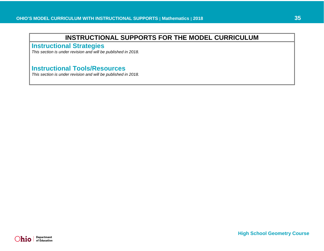<span id="page-34-0"></span>**Instructional Strategies**

*This section is under revision and will be published in 2018.* 

# <span id="page-34-1"></span>**Instructional Tools/Resources**

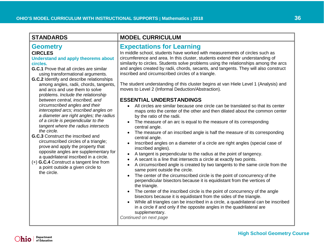<span id="page-35-3"></span><span id="page-35-2"></span><span id="page-35-1"></span><span id="page-35-0"></span>

| <b>STANDARDS</b>                                                                                                                                                                                                                                                                                                                                                                                                                                                                                                                                                                                                                                                                                                                                                                                                                                                                                      | <b>MODEL CURRICULUM</b>                                                                                                                                                                                                                                                                                                                                                                                                                                                                                                                                                                                                                                                                                                                                                                                                                                                                                                                                                                                                                                                                                                                                                                                                                                                                                                                                                                                                                                                                                                                                                                                                                                                                                                                                                                                                                                                                                                                                                                                                                               |
|-------------------------------------------------------------------------------------------------------------------------------------------------------------------------------------------------------------------------------------------------------------------------------------------------------------------------------------------------------------------------------------------------------------------------------------------------------------------------------------------------------------------------------------------------------------------------------------------------------------------------------------------------------------------------------------------------------------------------------------------------------------------------------------------------------------------------------------------------------------------------------------------------------|-------------------------------------------------------------------------------------------------------------------------------------------------------------------------------------------------------------------------------------------------------------------------------------------------------------------------------------------------------------------------------------------------------------------------------------------------------------------------------------------------------------------------------------------------------------------------------------------------------------------------------------------------------------------------------------------------------------------------------------------------------------------------------------------------------------------------------------------------------------------------------------------------------------------------------------------------------------------------------------------------------------------------------------------------------------------------------------------------------------------------------------------------------------------------------------------------------------------------------------------------------------------------------------------------------------------------------------------------------------------------------------------------------------------------------------------------------------------------------------------------------------------------------------------------------------------------------------------------------------------------------------------------------------------------------------------------------------------------------------------------------------------------------------------------------------------------------------------------------------------------------------------------------------------------------------------------------------------------------------------------------------------------------------------------------|
| <b>Geometry</b><br><b>CIRCLES</b><br><b>Understand and apply theorems about</b><br>circles.<br>G.C.1 Prove that all circles are similar<br>using transformational arguments.<br>G.C.2 Identify and describe relationships<br>among angles, radii, chords, tangents,<br>and arcs and use them to solve<br>problems. Include the relationship<br>between central, inscribed, and<br>circumscribed angles and their<br>intercepted arcs; inscribed angles on<br>a diameter are right angles; the radius<br>of a circle is perpendicular to the<br>tangent where the radius intersects<br>the circle.<br>G.C.3 Construct the inscribed and<br>circumscribed circles of a triangle;<br>prove and apply the property that<br>opposite angles are supplementary for<br>a quadrilateral inscribed in a circle.<br>(+) G.C.4 Construct a tangent line from<br>a point outside a given circle to<br>the circle. | <b>Expectations for Learning</b><br>In middle school, students have worked with measurements of circles such as<br>circumference and area. In this cluster, students extend their understanding of<br>similarity to circles. Students solve problems using the relationships among the arcs<br>and angles created by radii, chords, secants, and tangents. They will also construct<br>inscribed and circumscribed circles of a triangle.<br>The student understanding of this cluster begins at van Hiele Level 1 (Analysis) and<br>moves to Level 2 (Informal Deduction/Abstraction).<br><b>ESSENTIAL UNDERSTANDINGS</b><br>All circles are similar because one circle can be translated so that its center<br>maps onto the center of the other and then dilated about the common center<br>by the ratio of the radii.<br>The measure of an arc is equal to the measure of its corresponding<br>$\bullet$<br>central angle.<br>The measure of an inscribed angle is half the measure of its corresponding<br>$\bullet$<br>central angle.<br>Inscribed angles on a diameter of a circle are right angles (special case of<br>$\bullet$<br>inscribed angles).<br>A tangent is perpendicular to the radius at the point of tangency.<br>$\bullet$<br>A secant is a line that intersects a circle at exactly two points.<br>$\bullet$<br>A circumscribed angle is created by two tangents to the same circle from the<br>$\bullet$<br>same point outside the circle.<br>The center of the circumscribed circle is the point of concurrency of the<br>$\bullet$<br>perpendicular bisectors because it is equidistant from the vertices of<br>the triangle.<br>The center of the inscribed circle is the point of concurrency of the angle<br>$\bullet$<br>bisectors because it is equidistant from the sides of the triangle.<br>While all triangles can be inscribed in a circle, a quadrilateral can be inscribed<br>$\bullet$<br>in a circle if and only if the opposite angles in the quadrilateral are<br>supplementary.<br>Continued on next page |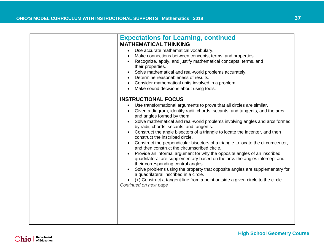| <b>Expectations for Learning, continued</b><br><b>MATHEMATICAL THINKING</b><br>Use accurate mathematical vocabulary.<br>Make connections between concepts, terms, and properties.<br>Recognize, apply, and justify mathematical concepts, terms, and<br>their properties.<br>Solve mathematical and real-world problems accurately.<br>Determine reasonableness of results.<br>Consider mathematical units involved in a problem.<br>Make sound decisions about using tools.                                                                                                                                                                                                                                                                                                                                                                                                                                                                                                                                                               |
|--------------------------------------------------------------------------------------------------------------------------------------------------------------------------------------------------------------------------------------------------------------------------------------------------------------------------------------------------------------------------------------------------------------------------------------------------------------------------------------------------------------------------------------------------------------------------------------------------------------------------------------------------------------------------------------------------------------------------------------------------------------------------------------------------------------------------------------------------------------------------------------------------------------------------------------------------------------------------------------------------------------------------------------------|
| <b>INSTRUCTIONAL FOCUS</b><br>Use transformational arguments to prove that all circles are similar.<br>Given a diagram, identify radii, chords, secants, and tangents, and the arcs<br>and angles formed by them.<br>Solve mathematical and real-world problems involving angles and arcs formed<br>by radii, chords, secants, and tangents.<br>Construct the angle bisectors of a triangle to locate the incenter, and then<br>construct the inscribed circle.<br>Construct the perpendicular bisectors of a triangle to locate the circumcenter,<br>and then construct the circumscribed circle.<br>Provide an informal argument for why the opposite angles of an inscribed<br>quadrilateral are supplementary based on the arcs the angles intercept and<br>their corresponding central angles.<br>Solve problems using the property that opposite angles are supplementary for<br>a quadrilateral inscribed in a circle.<br>(+) Construct a tangent line from a point outside a given circle to the circle.<br>Continued on next page |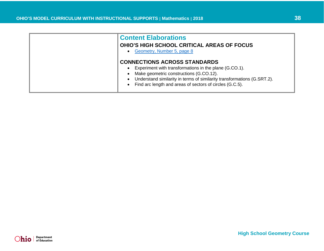<span id="page-37-0"></span>

| <b>Content Elaborations</b><br><b>OHIO'S HIGH SCHOOL CRITICAL AREAS OF FOCUS</b><br>Geometry, Number 5, page 8                                                                                                                                                                  |
|---------------------------------------------------------------------------------------------------------------------------------------------------------------------------------------------------------------------------------------------------------------------------------|
| <b>CONNECTIONS ACROSS STANDARDS</b><br>Experiment with transformations in the plane (G.CO.1).<br>Make geometric constructions (G.CO.12).<br>Understand similarity in terms of similarity transformations (G.SRT.2).<br>Find arc length and areas of sectors of circles (G.C.5). |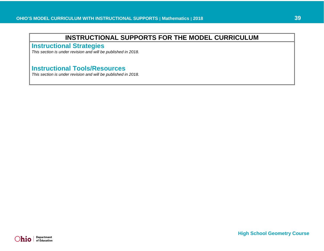<span id="page-38-0"></span>**Instructional Strategies**

*This section is under revision and will be published in 2018.* 

# <span id="page-38-1"></span>**Instructional Tools/Resources**

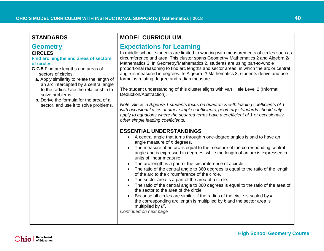<span id="page-39-1"></span><span id="page-39-0"></span>

| <b>STANDARDS</b>                                                                                                                                                                                                                                                                                                                                                                                                                  | <b>MODEL CURRICULUM</b>                                                                                                                                                                                                                                                                                                                                                                                                                                                                                                                                                                                                                                                                                                                                                                                                                                                                                                                                                                                                                                                                                                                                                                                                                                                                                                                                                                                                                                                                                                                                                                                                                                                                                                                                                                                                                                                                                   |
|-----------------------------------------------------------------------------------------------------------------------------------------------------------------------------------------------------------------------------------------------------------------------------------------------------------------------------------------------------------------------------------------------------------------------------------|-----------------------------------------------------------------------------------------------------------------------------------------------------------------------------------------------------------------------------------------------------------------------------------------------------------------------------------------------------------------------------------------------------------------------------------------------------------------------------------------------------------------------------------------------------------------------------------------------------------------------------------------------------------------------------------------------------------------------------------------------------------------------------------------------------------------------------------------------------------------------------------------------------------------------------------------------------------------------------------------------------------------------------------------------------------------------------------------------------------------------------------------------------------------------------------------------------------------------------------------------------------------------------------------------------------------------------------------------------------------------------------------------------------------------------------------------------------------------------------------------------------------------------------------------------------------------------------------------------------------------------------------------------------------------------------------------------------------------------------------------------------------------------------------------------------------------------------------------------------------------------------------------------------|
| <b>Geometry</b><br><b>CIRCLES</b><br>Find arc lengths and areas of sectors<br>of circles.<br>G.C.5 Find arc lengths and areas of<br>sectors of circles.<br>a. Apply similarity to relate the length of<br>an arc intercepted by a central angle<br>to the radius. Use the relationship to<br>solve problems.<br><b>b.</b> Derive the formula for the area of a<br>sector, and use it to solve problems.<br>Continued on next page | <b>Expectations for Learning</b><br>In middle school, students are limited to working with measurements of circles such as<br>circumference and area. This cluster spans Geometry/ Mathematics 2 and Algebra 2/<br>Mathematics 3. In Geometry/Mathematics 2, students are using part-to-whole<br>proportional reasoning to find arc lengths and sector areas, in which the arc or central<br>angle is measured in degrees. In Algebra 2/ Mathematics 3, students derive and use<br>formulas relating degree and radian measure.<br>The student understanding of this cluster aligns with van Hiele Level 2 (Informal<br>Deduction/Abstraction).<br>Note: Since in Algebra 1 students focus on quadratics with leading coefficients of 1<br>with occasional uses of other simple coefficients, geometry standards should only<br>apply to equations where the squared terms have a coefficient of 1 or occasionally<br>other simple leading coefficients.<br><b>ESSENTIAL UNDERSTANDINGS</b><br>A central angle that turns through n one-degree angles is said to have an<br>angle measure of <i>n</i> degrees.<br>The measure of an arc is equal to the measure of the corresponding central<br>$\bullet$<br>angle and is expressed in degrees, while the length of an arc is expressed in<br>units of linear measure.<br>The arc length is a part of the circumference of a circle.<br>$\bullet$<br>The ratio of the central angle to 360 degrees is equal to the ratio of the length<br>$\bullet$<br>of the arc to the circumference of the circle.<br>The sector area is a part of the area of a circle.<br>The ratio of the central angle to 360 degrees is equal to the ratio of the area of<br>the sector to the area of the circle.<br>Because all circles are similar, if the radius of the circle is scaled by $k$ ,<br>the corresponding arc length is multiplied by $k$ and the sector area is |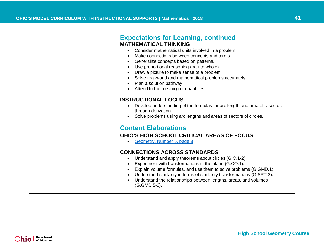<span id="page-40-0"></span>

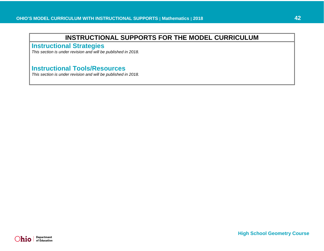<span id="page-41-0"></span>**Instructional Strategies**

*This section is under revision and will be published in 2018.* 

# <span id="page-41-1"></span>**Instructional Tools/Resources**

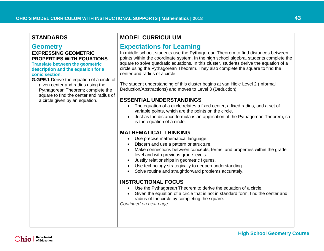### <span id="page-42-0"></span>**Geometry EXPRESSING GEOMETRIC PROPERTIES WITH EQUATIONS**

<span id="page-42-1"></span>**Translate between the geometric description and the equation for a conic section.**

**G.GPE.1** Derive the equation of a circle of given center and radius using the Pythagorean Theorem; complete the square to find the center and radius of a circle given by an equation.

### **STANDARDS MODEL CURRICULUM**

# <span id="page-42-2"></span>**Expectations for Learning**

In middle school, students use the Pythagorean Theorem to find distances between points within the coordinate system. In the high school algebra, students complete the square to solve quadratic equations. In this cluster, students derive the equation of a circle using the Pythagorean Theorem. They also complete the square to find the center and radius of a circle.

The student understanding of this cluster begins at van Hiele Level 2 (Informal Deduction/Abstractions) and moves to Level 3 (Deduction).

### **ESSENTIAL UNDERSTANDINGS**

- The equation of a circle relates a fixed center, a fixed radius, and a set of variable points, which are the points on the circle.
- Just as the distance formula is an application of the Pythagorean Theorem, so is the equation of a circle.

### **MATHEMATICAL THINKING**

- Use precise mathematical language.
- Discern and use a pattern or structure.
- Make connections between concepts, terms, and properties within the grade level and with previous grade levels.
- Justify relationships in geometric figures.
- Use technology strategically to deepen understanding.
- Solve routine and straightforward problems accurately.

### **INSTRUCTIONAL FOCUS**

- Use the Pythagorean Theorem to derive the equation of a circle.
- Given the equation of a circle that is not in standard form, find the center and radius of the circle by completing the square.

*Continued on next page*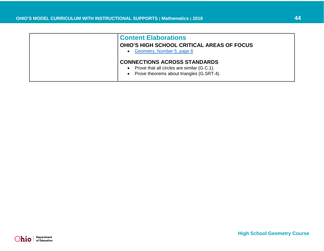<span id="page-43-0"></span>

| <b>Content Elaborations</b><br><b>OHIO'S HIGH SCHOOL CRITICAL AREAS OF FOCUS</b><br>Geometry, Number 5, page 8                  |
|---------------------------------------------------------------------------------------------------------------------------------|
| <b>CONNECTIONS ACROSS STANDARDS</b><br>Prove that all circles are similar (G.C.1).<br>Prove theorems about triangles (G.SRT.4). |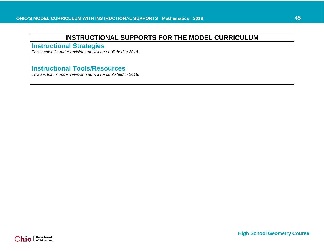<span id="page-44-0"></span>**Instructional Strategies**

*This section is under revision and will be published in 2018.* 

# <span id="page-44-1"></span>**Instructional Tools/Resources**

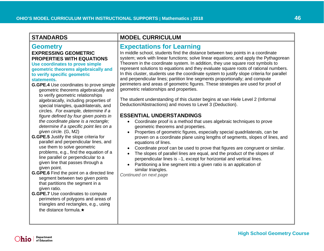### **Geometry EXPRESSING GEOMETRIC PROPERTIES WITH EQUATIONS**

### <span id="page-45-0"></span>**Use coordinates to prove simple geometric theorems algebraically and to verify specific geometric statements.**

- **G.GPE.4** Use coordinates to prove simple geometric theorems algebraically and to verify geometric relationships algebraically, including properties of special triangles, quadrilaterals, and circles. *For example, determine if a figure defined by four given points in the coordinate plane is a rectangle; determine if a specific point lies on a given circle.* (G, M2)
- **G.GPE.5** Justify the slope criteria for parallel and perpendicular lines, and use them to solve geometric problems, e.g., find the equation of a line parallel or perpendicular to a given line that passes through a given point.
- **G.GPE.6** Find the point on a directed line segment between two given points that partitions the segment in a given ratio.
- **G.GPE.7** Use coordinates to compute perimeters of polygons and areas of triangles and rectangles, e.g., using the distance formula.★

# **STANDARDS MODEL CURRICULUM**

### <span id="page-45-1"></span>**Expectations for Learning**

In middle school, students find the distance between two points in a coordinate system; work with linear functions; solve linear equations; and apply the Pythagorean Theorem in the coordinate system. In addition, they use square root symbols to represent solutions to equations and they evaluate square roots of rational numbers. In this cluster, students use the coordinate system to justify slope criteria for parallel and perpendicular lines; partition line segments proportionally; and compute perimeters and areas of geometric figures. These strategies are used for proof of geometric relationships and properties.

The student understanding of this cluster begins at van Hiele Level 2 (Informal Deduction/Abstractions) and moves to Level 3 (Deduction).

### **ESSENTIAL UNDERSTANDINGS**

- Coordinate proof is a method that uses algebraic techniques to prove geometric theorems and properties.
- Properties of geometric figures, especially special quadrilaterals, can be proven on a coordinate plane using lengths of segments, slopes of lines, and equations of lines.
- Coordinate proof can be used to prove that figures are congruent or similar.
- The slopes of parallel lines are equal, and the product of the slopes of perpendicular lines is −1, except for horizontal and vertical lines.
- Partitioning a line segment into a given ratio is an application of similar triangles.

*Continued on next page*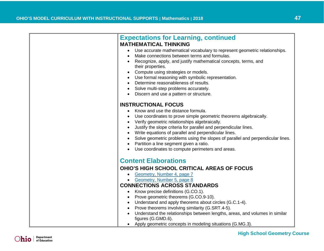| <b>Expectations for Learning, continued</b>                                    |
|--------------------------------------------------------------------------------|
| <b>MATHEMATICAL THINKING</b>                                                   |
| Use accurate mathematical vocabulary to represent geometric relationships.     |
| Make connections between terms and formulas.                                   |
| Recognize, apply, and justify mathematical concepts, terms, and                |
| their properties.                                                              |
| Compute using strategies or models.                                            |
| Use formal reasoning with symbolic representation.                             |
| Determine reasonableness of results.                                           |
| Solve multi-step problems accurately.                                          |
| Discern and use a pattern or structure.                                        |
|                                                                                |
| <b>INSTRUCTIONAL FOCUS</b>                                                     |
| Know and use the distance formula.                                             |
| Use coordinates to prove simple geometric theorems algebraically.              |
| Verify geometric relationships algebraically.                                  |
| Justify the slope criteria for parallel and perpendicular lines.               |
| Write equations of parallel and perpendicular lines.                           |
| Solve geometric problems using the slopes of parallel and perpendicular lines. |
| Partition a line segment given a ratio.                                        |
| Use coordinates to compute perimeters and areas.                               |
|                                                                                |
| <b>Content Elaborations</b>                                                    |
|                                                                                |
| <b>OHIO'S HIGH SCHOOL CRITICAL AREAS OF FOCUS</b>                              |
| Geometry, Number 4, page 7                                                     |
| Geometry, Number 5, page 8                                                     |
| <b>CONNECTIONS ACROSS STANDARDS</b>                                            |
| Know precise definitions (G.CO.1).                                             |
| Prove geometric theorems (G.CO.9-10).                                          |
| Understand and apply theorems about circles (G.C.1-4).                         |
| Prove theorems involving similarity (G.SRT.4-5).                               |
| Understand the relationships between lengths, areas, and volumes in similar    |
| figures (G.GMD.6).                                                             |
| Apply geometric concepts in modeling situations (G.MG.3).                      |

<span id="page-46-0"></span>**High School Geometry Course**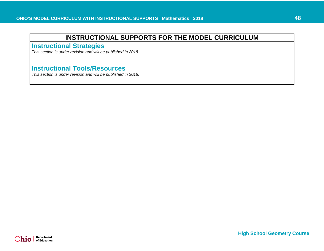<span id="page-47-0"></span>**Instructional Strategies**

*This section is under revision and will be published in 2018.* 

# <span id="page-47-1"></span>**Instructional Tools/Resources**

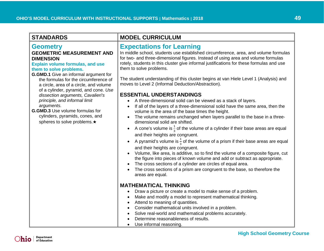<span id="page-48-2"></span><span id="page-48-1"></span><span id="page-48-0"></span>

| <b>STANDARDS</b>                                                                                                                                                                                                                                                                                                                                                                                                                                                                                                          | <b>MODEL CURRICULUM</b>                                                                                                                                                                                                                                                                                                                                                                                                                                                                                                                                                                                                                                                                                                                                                                                                                                                                                                                                                                                                                                                                                                                                                                                                                                                                                                                                                                                                                                                                              |
|---------------------------------------------------------------------------------------------------------------------------------------------------------------------------------------------------------------------------------------------------------------------------------------------------------------------------------------------------------------------------------------------------------------------------------------------------------------------------------------------------------------------------|------------------------------------------------------------------------------------------------------------------------------------------------------------------------------------------------------------------------------------------------------------------------------------------------------------------------------------------------------------------------------------------------------------------------------------------------------------------------------------------------------------------------------------------------------------------------------------------------------------------------------------------------------------------------------------------------------------------------------------------------------------------------------------------------------------------------------------------------------------------------------------------------------------------------------------------------------------------------------------------------------------------------------------------------------------------------------------------------------------------------------------------------------------------------------------------------------------------------------------------------------------------------------------------------------------------------------------------------------------------------------------------------------------------------------------------------------------------------------------------------------|
| <b>Geometry</b><br><b>GEOMETRIC MEASUREMENT AND</b><br><b>DIMENSION</b><br><b>Explain volume formulas, and use</b><br>them to solve problems.<br><b>G.GMD.1</b> Give an informal argument for<br>the formulas for the circumference of<br>a circle, area of a circle, and volume<br>of a cylinder, pyramid, and cone. Use<br>dissection arguments, Cavalieri's<br>principle, and informal limit<br>arguments.<br><b>G.GMD.3</b> Use volume formulas for<br>cylinders, pyramids, cones, and<br>spheres to solve problems.★ | <b>Expectations for Learning</b><br>In middle school, students use established circumference, area, and volume formulas<br>for two- and three-dimensional figures. Instead of using area and volume formulas<br>rotely, students in this cluster give informal justifications for these formulas and use<br>them to solve problems.<br>The student understanding of this cluster begins at van Hiele Level 1 (Analysis) and<br>moves to Level 2 (Informal Deduction/Abstraction).<br><b>ESSENTIAL UNDERSTANDINGS</b><br>A three-dimensional solid can be viewed as a stack of layers.<br>If all of the layers of a three-dimensional solid have the same area, then the<br>$\bullet$<br>volume is the area of the base times the height.<br>The volume remains unchanged when layers parallel to the base in a three-<br>$\bullet$<br>dimensional solid are shifted.<br>A cone's volume is $\frac{1}{2}$ of the volume of a cylinder if their base areas are equal<br>and their heights are congruent.<br>A pyramid's volume is $\frac{1}{2}$ of the volume of a prism if their base areas are equal<br>and their heights are congruent.<br>Volume, like area, is additive, so to find the volume of a composite figure, cut<br>the figure into pieces of known volume and add or subtract as appropriate.<br>The cross sections of a cylinder are circles of equal area.<br>$\bullet$<br>The cross sections of a prism are congruent to the base, so therefore the<br>$\bullet$<br>areas are equal. |
|                                                                                                                                                                                                                                                                                                                                                                                                                                                                                                                           | <b>MATHEMATICAL THINKING</b><br>Draw a picture or create a model to make sense of a problem.<br>$\bullet$<br>Make and modify a model to represent mathematical thinking.<br>$\bullet$<br>Attend to meaning of quantities.<br>$\bullet$<br>Consider mathematical units involved in a problem.<br>Solve real-world and mathematical problems accurately.<br>Determine reasonableness of results.<br>$\bullet$                                                                                                                                                                                                                                                                                                                                                                                                                                                                                                                                                                                                                                                                                                                                                                                                                                                                                                                                                                                                                                                                                          |

• Use informal reasoning.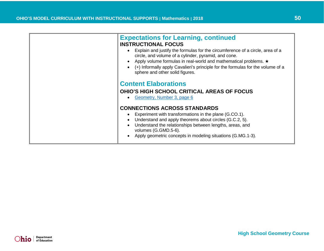<span id="page-49-0"></span>

| <b>Expectations for Learning, continued</b><br><b>INSTRUCTIONAL FOCUS</b><br>Explain and justify the formulas for the circumference of a circle, area of a<br>circle, and volume of a cylinder, pyramid, and cone.<br>Apply volume formulas in real-world and mathematical problems. ★<br>(+) Informally apply Cavalieri's principle for the formulas for the volume of a<br>sphere and other solid figures. |
|--------------------------------------------------------------------------------------------------------------------------------------------------------------------------------------------------------------------------------------------------------------------------------------------------------------------------------------------------------------------------------------------------------------|
| <b>Content Elaborations</b><br><b>OHIO'S HIGH SCHOOL CRITICAL AREAS OF FOCUS</b><br>Geometry, Number 3, page 6                                                                                                                                                                                                                                                                                               |
| <b>CONNECTIONS ACROSS STANDARDS</b><br>Experiment with transformations in the plane (G.CO.1).<br>Understand and apply theorems about circles (G.C.2, 5).<br>Understand the relationships between lengths, areas, and<br>volumes (G.GMD.5-6).<br>Apply geometric concepts in modeling situations (G.MG.1-3).                                                                                                  |

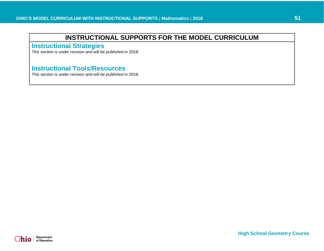<span id="page-50-0"></span>**Instructional Strategies**

*This section is under revision and will be published in 2018.* 

# <span id="page-50-1"></span>**Instructional Tools/Resources**

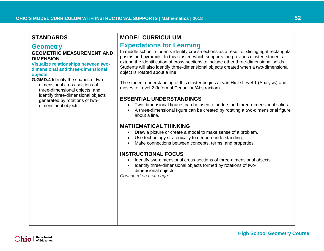# <span id="page-51-0"></span>**Geometry**

### <span id="page-51-1"></span>**GEOMETRIC MEASUREMENT AND DIMENSION**

<span id="page-51-2"></span>**Visualize relationships between twodimensional and three-dimensional objects.**

**G.GMD.4** Identify the shapes of twodimensional cross-sections of three-dimensional objects, and identify three-dimensional objects generated by rotations of twodimensional objects.

# **STANDARDS MODEL CURRICULUM**

# <span id="page-51-3"></span>**Expectations for Learning**

In middle school, students identify cross-sections as a result of slicing right rectangular prisms and pyramids. In this cluster, which supports the previous cluster, students extend the identification of cross-sections to include other three-dimensional solids. Students will also identify three-dimensional objects created when a two-dimensional object is rotated about a line.

The student understanding of this cluster begins at van Hiele Level 1 (Analysis) and moves to Level 2 (Informal Deduction/Abstraction).

### **ESSENTIAL UNDERSTANDINGS**

- Two-dimensional figures can be used to understand three-dimensional solids.
- A three-dimensional figure can be created by rotating a two-dimensional figure about a line.

### **MATHEMATICAL THINKING**

- Draw a picture or create a model to make sense of a problem.
- Use technology strategically to deepen understanding.
- Make connections between concepts, terms, and properties.

### **INSTRUCTIONAL FOCUS**

- Identify two-dimensional cross-sections of three-dimensional objects.
- Identify three-dimensional objects formed by rotations of twodimensional objects.

*Continued on next page*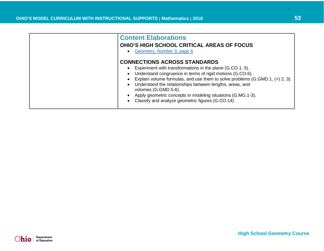<span id="page-52-0"></span>

| <b>Content Elaborations</b><br><b>OHIO'S HIGH SCHOOL CRITICAL AREAS OF FOCUS</b><br>Geometry, Number 3, page 6                                                                                                                                                                                                                                                                                                                                          |
|---------------------------------------------------------------------------------------------------------------------------------------------------------------------------------------------------------------------------------------------------------------------------------------------------------------------------------------------------------------------------------------------------------------------------------------------------------|
| <b>CONNECTIONS ACROSS STANDARDS</b><br>Experiment with transformations in the plane (G.CO.1, 5).<br>Understand congruence in terms of rigid motions (G.CO.6).<br>Explain volume formulas, and use them to solve problems (G.GMD.1, $(+)$ 2, 3).<br>Understand the relationships between lengths, areas, and<br>volumes (G.GMD.5-6).<br>Apply geometric concepts in modeling situations (G.MG.1-3).<br>Classify and analyze geometric figures (G.CO.14). |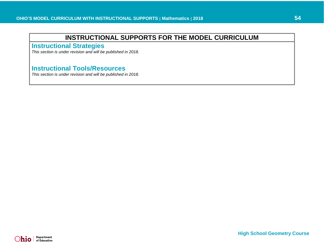<span id="page-53-0"></span>**Instructional Strategies**

*This section is under revision and will be published in 2018.* 

# <span id="page-53-1"></span>**Instructional Tools/Resources**

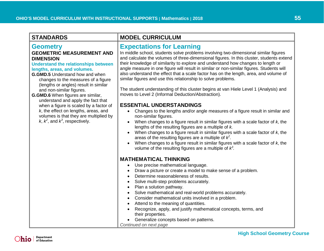# **Geometry**

### **GEOMETRIC MEASUREMENT AND DIMENSION**

<span id="page-54-0"></span>**Understand the relationships between lengths, areas, and volumes.**

**G.GMD.5** Understand how and when changes to the measures of a figure (lengths or angles) result in similar and non-similar figures.

**G.GMD.6** When figures are similar, understand and apply the fact that when a figure is scaled by a factor of *k*, the effect on lengths, areas, and volumes is that they are multiplied by  $k, k<sup>2</sup>$ , and  $k<sup>3</sup>$ , respectively.

# **STANDARDS MODEL CURRICULUM**

# <span id="page-54-1"></span>**Expectations for Learning**

In middle school, students solve problems involving two-dimensional similar figures and calculate the volumes of three-dimensional figures. In this cluster, students extend their knowledge of similarity to explore and understand how changes to length or angle measure in one figure will result in similar or non-similar figures. Students will also understand the effect that a scale factor has on the length, area, and volume of similar figures and use this relationship to solve problems.

The student understanding of this cluster begins at van Hiele Level 1 (Analysis) and moves to Level 2 (Informal Deduction/Abstraction).

### **ESSENTIAL UNDERSTANDINGS**

- Changes to the lengths and/or angle measures of a figure result in similar and non-similar figures.
- When changes to a figure result in similar figures with a scale factor of *k*, the lengths of the resulting figures are a multiple of *k.*
- When changes to a figure result in similar figures with a scale factor of *k*, the areas of the resulting figures are a multiple of *k2 .*
- When changes to a figure result in similar figures with a scale factor of *k*, the volume of the resulting figures are a multiple of *k<sup>3</sup> .*

### **MATHEMATICAL THINKING**

- Use precise mathematical language.
- Draw a picture or create a model to make sense of a problem.
- Determine reasonableness of results.
- Solve multi-step problems accurately.
- Plan a solution pathway.
- Solve mathematical and real-world problems accurately.
- Consider mathematical units involved in a problem.
- Attend to the meaning of quantities.
- Recognize, apply, and justify mathematical concepts, terms, and their properties.
- Generalize concepts based on patterns.
- *Continued on next page*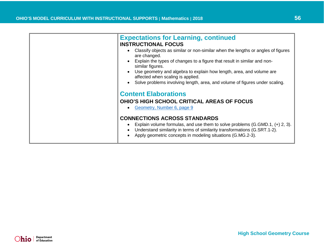<span id="page-55-0"></span>

| <b>Expectations for Learning, continued</b><br><b>INSTRUCTIONAL FOCUS</b><br>Classify objects as similar or non-similar when the lengths or angles of figures<br>are changed.<br>Explain the types of changes to a figure that result in similar and non-<br>similar figures.<br>Use geometry and algebra to explain how length, area, and volume are<br>affected when scaling is applied.<br>Solve problems involving length, area, and volume of figures under scaling. |
|---------------------------------------------------------------------------------------------------------------------------------------------------------------------------------------------------------------------------------------------------------------------------------------------------------------------------------------------------------------------------------------------------------------------------------------------------------------------------|
| <b>Content Elaborations</b><br><b>OHIO'S HIGH SCHOOL CRITICAL AREAS OF FOCUS</b><br>Geometry, Number 6, page 9<br><b>CONNECTIONS ACROSS STANDARDS</b>                                                                                                                                                                                                                                                                                                                     |
| Explain volume formulas, and use them to solve problems $(G.GMD.1, (+) 2, 3)$ .<br>Understand similarity in terms of similarity transformations (G.SRT.1-2).<br>Apply geometric concepts in modeling situations (G.MG.2-3).                                                                                                                                                                                                                                               |

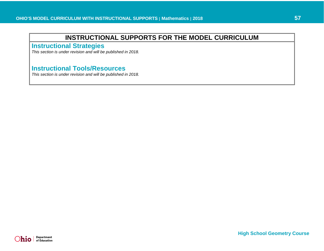<span id="page-56-0"></span>**Instructional Strategies**

*This section is under revision and will be published in 2018.* 

# <span id="page-56-1"></span>**Instructional Tools/Resources**

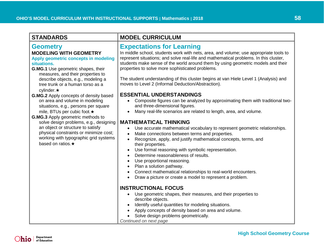<span id="page-57-2"></span><span id="page-57-1"></span><span id="page-57-0"></span>

| <b>STANDARDS</b>                                                                                                                                                                                                                                                                                                                                                                   | <b>MODEL CURRICULUM</b>                                                                                                                                                                                                                                                                                                                                                                                                                                                                                                                                                                                                                                                                                                                                                                                                                                                           |
|------------------------------------------------------------------------------------------------------------------------------------------------------------------------------------------------------------------------------------------------------------------------------------------------------------------------------------------------------------------------------------|-----------------------------------------------------------------------------------------------------------------------------------------------------------------------------------------------------------------------------------------------------------------------------------------------------------------------------------------------------------------------------------------------------------------------------------------------------------------------------------------------------------------------------------------------------------------------------------------------------------------------------------------------------------------------------------------------------------------------------------------------------------------------------------------------------------------------------------------------------------------------------------|
| <b>Geometry</b><br><b>MODELING WITH GEOMETRY</b><br>Apply geometric concepts in modeling<br>situations.<br>G.MG.1 Use geometric shapes, their<br>measures, and their properties to<br>describe objects, e.g., modeling a<br>tree trunk or a human torso as a<br>cylinder. $\star$                                                                                                  | <b>Expectations for Learning</b><br>In middle school, students work with nets, area, and volume; use appropriate tools to<br>represent situations; and solve real-life and mathematical problems. In this cluster,<br>students make sense of the world around them by using geometric models and their<br>properties to solve more sophisticated problems.<br>The student understanding of this cluster begins at van Hiele Level 1 (Analysis) and<br>moves to Level 2 (Informal Deduction/Abstraction).                                                                                                                                                                                                                                                                                                                                                                          |
| G.MG.2 Apply concepts of density based<br>on area and volume in modeling<br>situations, e.g., persons per square<br>mile, BTUs per cubic foot.★<br><b>G.MG.3</b> Apply geometric methods to<br>solve design problems, e.g., designing<br>an object or structure to satisfy<br>physical constraints or minimize cost;<br>working with typographic grid systems<br>based on ratios.★ | <b>ESSENTIAL UNDERSTANDINGS</b><br>Composite figures can be analyzed by approximating them with traditional two-<br>and three-dimensional figures.<br>Many real-life scenarios are related to length, area, and volume.<br>$\bullet$<br><b>MATHEMATICAL THINKING</b><br>Use accurate mathematical vocabulary to represent geometric relationships.<br>$\bullet$<br>Make connections between terms and properties.<br>$\bullet$<br>Recognize, apply, and justify mathematical concepts, terms, and<br>$\bullet$<br>their properties.<br>Use formal reasoning with symbolic representation.<br>٠<br>Determine reasonableness of results.<br>$\bullet$<br>Use proportional reasoning.<br>$\bullet$<br>Plan a solution pathway.<br>$\bullet$<br>Connect mathematical relationships to real-world encounters.<br>$\bullet$<br>Draw a picture or create a model to represent a problem. |
|                                                                                                                                                                                                                                                                                                                                                                                    | <b>INSTRUCTIONAL FOCUS</b><br>Use geometric shapes, their measures, and their properties to<br>$\bullet$<br>describe objects.<br>Identify useful quantities for modeling situations.<br>$\bullet$<br>Apply concepts of density based on area and volume.<br>$\bullet$<br>Solve design problems geometrically.<br>Continued on next page                                                                                                                                                                                                                                                                                                                                                                                                                                                                                                                                           |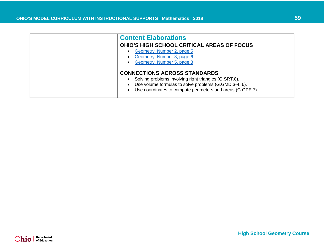<span id="page-58-0"></span>

| <b>Content Elaborations</b>                                                                                                                                                                                         |
|---------------------------------------------------------------------------------------------------------------------------------------------------------------------------------------------------------------------|
| <b>OHIO'S HIGH SCHOOL CRITICAL AREAS OF FOCUS</b>                                                                                                                                                                   |
| Geometry, Number 2, page 5<br>Geometry, Number 3, page 6<br>Geometry, Number 5, page 8                                                                                                                              |
| <b>CONNECTIONS ACROSS STANDARDS</b><br>Solving problems involving right triangles (G.SRT.8).<br>Use volume formulas to solve problems (G.GMD.3-4, 6).<br>Use coordinates to compute perimeters and areas (G.GPE.7). |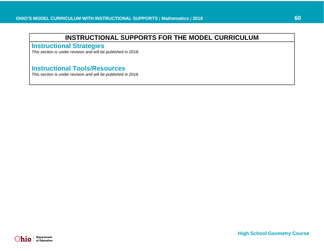<span id="page-59-0"></span>**Instructional Strategies**

*This section is under revision and will be published in 2018.* 

# <span id="page-59-1"></span>**Instructional Tools/Resources**

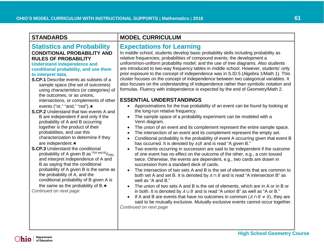### <span id="page-60-1"></span><span id="page-60-0"></span>**Statistics and Probability CONDITIONAL PROBABILITY AND RULES OF PROBABILITY**

### <span id="page-60-2"></span>**Understand independence and conditional probability, and use them to interpret data.**

- **S.CP.1** Describe events as subsets of a sample space (the set of outcomes) using characteristics (or categories) of the outcomes, or as unions, intersections, or complements of other events ("or," "and," "not"). ★
- **S.CP.2** Understand that two events A and B are independent if and only if the probability of A and B occurring together is the product of their probabilities, and use this characterization to determine if they are independent.★
- **S.CP.3** Understand the conditional probability of A given B as  $P(A \text{ and } B)/P(B)$ , and interpret independence of A and B as saying that the conditional probability of A given B is the same as the probability of A, and the conditional probability of B given A is the same as the probability of B.★ *Continued on next page*

### **STANDARDS MODEL CURRICULUM**

### <span id="page-60-3"></span>**Expectations for Learning**

In middle school, students develop basic probability skills including probability as relative frequencies; probabilities of compound events; the development a uniform/non-uniform probability model; and the use of tree diagrams. Also students are introduced to two-way frequency tables in middle school. However, students' only prior exposure to the concept of independence was in S.ID.5 (Algebra 1/Math 1). This cluster focuses on the concept of independence between two categorical variables. It also focuses on the understanding of independence rather than symbolic notation and formulas. Fluency with independence is expected by the end of Geometry/Math 2.

### **ESSENTIAL UNDERSTANDINGS**

- Approximations for the true probability of an event can be found by looking at the long-run relative frequency.
- The sample space of a probability experiment can be modeled with a Venn diagram.
- The union of an event and its complement represent the entire sample space.
- The intersection of an event and its complement represent the empty set.
- Conditional probability is the probability of event A occurring given that event B has occurred. It is denoted by  $A|B$  and is read "A given B."
- Two events occurring in succession are said to be independent if the outcome of one event has no effect on the outcome of the other, e.g., a coin tossed twice. Otherwise, the events are dependent, e.g., two cards are drawn in succession from a standard deck of cards.
- The intersection of two sets A and B is the set of elements that are common to both set A and set B. It is denoted by  $A \cap B$  and is read "A intersection B" as well as "A and B."
- The union of two sets A and B is the set of elements, which are in A or in B or in both. It is denoted by  $A \cup B$  and is read "A union B" as well as "A or B."
- If A and B are events that have no outcomes in common  $(A \cap B \neq 0)$ , they are said to be mutually exclusive. Mutually exclusive events cannot occur together. *Continued on next page*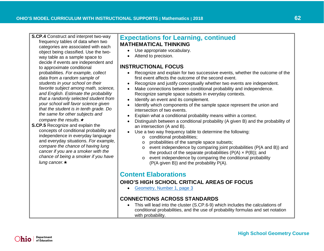**S.CP.4** Construct and interpret two-way

frequency tables of data when two categories are associated with each object being classified. Use the twoway table as a sample space to decide if events are independent and to approximate conditional probabilities. *For example, collect data from a random sample of students in your school on their favorite subject among math, science, and English. Estimate the probability that a randomly selected student from your school will favor science given that the student is in tenth grade. Do the same for other subjects and compare the results.*★

**S.CP.5** Recognize and explain the concepts of conditional probability and independence in everyday language and everyday situations. *For example, compare the chance of having lung cancer if you are a smoker with the chance of being a smoker if you have lung cancer.*★

### **Expectations for Learning, continued MATHEMATICAL THINKING**

- Use appropriate vocabulary.
- Attend to precision.

### **INSTRUCTIONAL FOCUS**

- Recognize and explain for two successive events, whether the outcome of the first event affects the outcome of the second event.
- Recognize and justify conceptually whether two events are independent.
- Make connections between conditional probability and independence. Recognize sample space subsets in everyday contexts.
- Identify an event and its complement.
- Identify which components of the sample space represent the union and intersection of two events.
- Explain what a conditional probability means within a context.
- Distinguish between a conditional probability (A given B) and the probability of an intersection (A and B).
- Use a two way frequency table to determine the following:
	- o conditional probabilities;
	- o probabilities of the sample space subsets;
	- o event independence by comparing joint probabilities (P(A and B)) and the product of the separate probabilities  $(P(A) \times P(B))$ : and
	- o event independence by comparing the conditional probability (P(A given B)) and the probability P(A).

# <span id="page-61-0"></span>**Content Elaborations**

### **OHIO'S HIGH SCHOOL CRITICAL AREAS OF FOCUS**

• [Geometry, Number 1, page 3](http://education.ohio.gov/getattachment/Topics/Learning-in-Ohio/Mathematics/Ohio-s-Learning-Standards-in-Mathematics/Transitioning-to-the-2017-Learning-Standards-in-Ma/GEOMETRY-CAF.pdf.aspx#page=3)

### **CONNECTIONS ACROSS STANDARDS**

• This will lead into the cluster (S.CP.6-9) which includes the calculations of conditional probabilities, and the use of probability formulas and set notation with probability.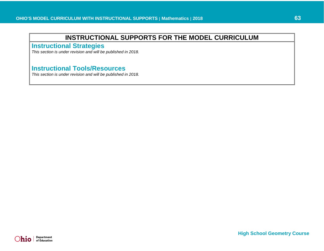<span id="page-62-0"></span>**Instructional Strategies**

*This section is under revision and will be published in 2018.* 

# <span id="page-62-1"></span>**Instructional Tools/Resources**

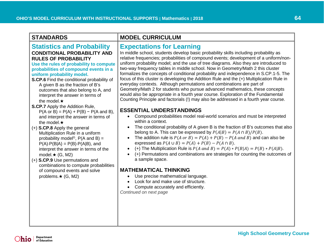<span id="page-63-3"></span><span id="page-63-2"></span><span id="page-63-1"></span><span id="page-63-0"></span>

| <b>STANDARDS</b>                                                                                                                                                                                                                                                                                                                                                                                                                                                                                                                                                                                                                                                                                                                                                                                                                                                                                                                                                             | <b>MODEL CURRICULUM</b>                                                                                                                                                                                                                                                                                                                                                                                                                                                                                                                                                                                                                                                                                                                                                                                                                                                                                                                                                                                                                                                                                                                                                                                                                                                                                                                                                                                                                                                                                                                                                                                                                                                                                                                                                                                          |
|------------------------------------------------------------------------------------------------------------------------------------------------------------------------------------------------------------------------------------------------------------------------------------------------------------------------------------------------------------------------------------------------------------------------------------------------------------------------------------------------------------------------------------------------------------------------------------------------------------------------------------------------------------------------------------------------------------------------------------------------------------------------------------------------------------------------------------------------------------------------------------------------------------------------------------------------------------------------------|------------------------------------------------------------------------------------------------------------------------------------------------------------------------------------------------------------------------------------------------------------------------------------------------------------------------------------------------------------------------------------------------------------------------------------------------------------------------------------------------------------------------------------------------------------------------------------------------------------------------------------------------------------------------------------------------------------------------------------------------------------------------------------------------------------------------------------------------------------------------------------------------------------------------------------------------------------------------------------------------------------------------------------------------------------------------------------------------------------------------------------------------------------------------------------------------------------------------------------------------------------------------------------------------------------------------------------------------------------------------------------------------------------------------------------------------------------------------------------------------------------------------------------------------------------------------------------------------------------------------------------------------------------------------------------------------------------------------------------------------------------------------------------------------------------------|
| <b>Statistics and Probability</b><br><b>CONDITIONAL PROBABILITY AND</b><br><b>RULES OF PROBABILITY</b><br>Use the rules of probability to compute<br>probabilities of compound events in a<br>uniform probability model.<br>S.CP.6 Find the conditional probability of<br>A given B as the fraction of B's<br>outcomes that also belong to A, and<br>interpret the answer in terms of<br>the model. $\star$<br><b>S.CP.7</b> Apply the Addition Rule,<br>$P(A \text{ or } B) = P(A) + P(B) - P(A \text{ and } B),$<br>and interpret the answer in terms of<br>the model. $\star$<br>(+) S.CP.8 Apply the general<br>Multiplication Rule in a uniform<br>probability model <sup>G</sup> , $P(A \text{ and } B) =$<br>$P(A) \cdot P(B A) = P(B) \cdot P(A B)$ , and<br>interpret the answer in terms of the<br>model. $\star$ (G, M2)<br>(+) S.CP.9 Use permutations and<br>combinations to compute probabilities<br>of compound events and solve<br>problems. $\star$ (G, M2) | <b>Expectations for Learning</b><br>In middle school, students develop basic probability skills including probability as<br>relative frequencies; probabilities of compound events; development of a uniform/non-<br>uniform probability model; and the use of tree diagrams. Also they are introduced to<br>two-way frequency tables in middle school. Now in Geometry/Math 2 this cluster<br>formalizes the concepts of conditional probability and independence in S.CP.1-5. The<br>focus of this cluster is developing the Addition Rule and the (+) Multiplication Rule in<br>everyday contexts. Although permutations and combinations are part of<br>Geometry/Math 2 for students who pursue advanced mathematics, these concepts<br>would also be appropriate in a fourth year course. Exploration of the Fundamental<br>Counting Principle and factorials (!) may also be addressed in a fourth year course.<br><b>ESSENTIAL UNDERSTANDINGS</b><br>• Compound probabilities model real-world scenarios and must be interpreted<br>within a context.<br>The conditional probability of A given B is the fraction of B's outcomes that also<br>$\bullet$<br>belong to A. This can be expressed by $P(A B) = P(A \cap B)/P(B)$ .<br>The addition rule is $P(A \text{ or } B) = P(A) + P(B) - P(A \text{ and } B)$ and can also be<br>$\bullet$<br>expressed as $P(A \cup B) = P(A) + P(B) - P(A \cap B)$ .<br>(+) The Multiplication Rule is $P(A \text{ and } B) = P(A) * P(B A) = P(B) * P(A B)$ .<br>$\bullet$<br>(+) Permutations and combinations are strategies for counting the outcomes of<br>a sample space.<br><b>MATHEMATICAL THINKING</b><br>Use precise mathematical language.<br>٠<br>Look for and make use of structure.<br>• Compute accurately and efficiently.<br>Continued on next page |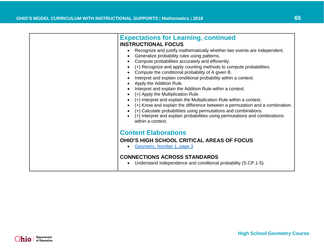<span id="page-64-0"></span>

| <b>Expectations for Learning, continued</b><br><b>INSTRUCTIONAL FOCUS</b><br>Recognize and justify mathematically whether two events are independent.<br>Generalize probability rules using patterns.<br>Compute probabilities accurately and efficiently.<br>(+) Recognize and apply counting methods to compute probabilities.<br>Compute the conditional probability of A given B.<br>Interpret and explain conditional probability within a context.<br>Apply the Addition Rule.<br>Interpret and explain the Addition Rule within a context.<br>(+) Apply the Multiplication Rule.<br>(+) Interpret and explain the Multiplication Rule within a context.<br>(+) Know and explain the difference between a permutation and a combination.<br>(+) Calculate probabilities using permutations and combinations. |
|--------------------------------------------------------------------------------------------------------------------------------------------------------------------------------------------------------------------------------------------------------------------------------------------------------------------------------------------------------------------------------------------------------------------------------------------------------------------------------------------------------------------------------------------------------------------------------------------------------------------------------------------------------------------------------------------------------------------------------------------------------------------------------------------------------------------|
| (+) Interpret and explain probabilities using permutations and combinations<br>within a context.<br><b>Content Elaborations</b><br><b>OHIO'S HIGH SCHOOL CRITICAL AREAS OF FOCUS</b><br>Geometry, Number 1, page 3<br><b>CONNECTIONS ACROSS STANDARDS</b><br>Understand independence and conditional probability (S.CP.1-5).                                                                                                                                                                                                                                                                                                                                                                                                                                                                                       |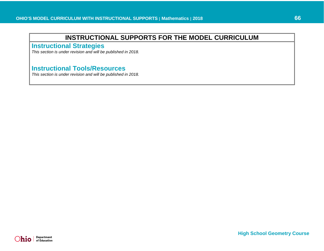<span id="page-65-0"></span>**Instructional Strategies**

*This section is under revision and will be published in 2018.* 

# <span id="page-65-1"></span>**Instructional Tools/Resources**